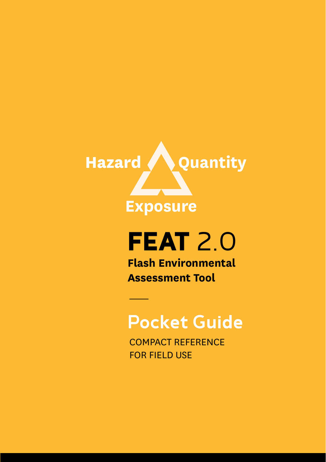

# **FEAT** 2.0

**Flash Environmental Assessment Tool**

### Pocket Guide

COMPACT REFERENCE FOR FIELD USE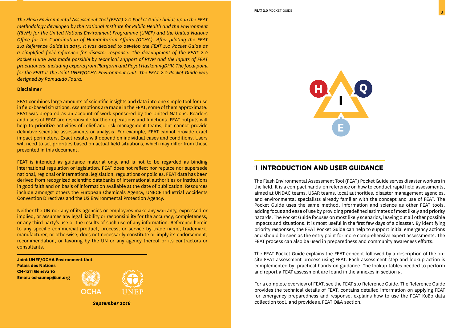*The Flash Environmental Assessment Tool (FEAT) 2.0 Pocket Guide builds upon the FEAT methodology developed by the National Institute for Public Health and the Environment (RIVM) for the United Nations Environment Programme (UNEP) and the United Nations Office for the Coordination of Humanitarian Affairs (OCHA). After piloting the FEAT 2.0 Reference Guide in 2015, it was decided to develop the FEAT 2.0 Pocket Guide as a simplified field reference for disaster response. The development of the FEAT 2.0 Pocket Guide was made possible by technical support of RIVM and the inputs of FEAT practitioners, including experts from Pluriform and Royal HaskoningDHV. The focal point for the FEAT is the Joint UNEP/OCHA Environment Unit. The FEAT 2.0 Pocket Guide was designed by Romualdo Faura.* 

#### **Disclaimer**

FEAT combines large amounts of scientific insights and data into one simple tool for use in field-based situations. Assumptions are made in the FEAT, some of them approximate. FEAT was prepared as an account of work sponsored by the United Nations. Readers and users of FEAT are responsible for their operations and functions. FEAT outputs will help to prioritize activities of relief and risk management teams, but cannot provide definitive scientific assessments or analysis. For example, FEAT cannot provide exact impact perimeters. Exact results will depend on individual cases and conditions. Users will need to set priorities based on actual field situations, which may differ from those presented in this document.

FEAT is intended as guidance material only, and is not to be regarded as binding international regulation or legislation. FEAT does not reflect nor replace nor supersede national, regional or international legislation, regulations or policies. FEAT data has been derived from recognized scientific databanks of international authorities or institutions in good faith and on basis of information available at the date of publication. Resources include amongst others the European Chemicals Agency, UNECE Industrial Accidents Convention Directives and the US Environmental Protection Agency.

Neither the UN nor any of its agencies or employees make any warranty, expressed or implied, or assumes any legal liability or responsibility for the accuracy, completeness, or any third party's use or the results of such use of any information. Reference herein to any specific commercial product, process, or service by trade name, trademark, manufacturer, or otherwise, does not necessarily constitute or imply its endorsement, recommendation, or favoring by the UN or any agency thereof or its contractors or consultants.

**Joint UNEP/OCHA Environment Unit Palais des Nations CH-1211 Geneva 10 Email: ochaunep@un.org**



*September 2016*



#### 1. **INTRODUCTION AND USER GUIDANCE**

The Flash Environmental Assessment Tool (FEAT) Pocket Guide serves disaster workers in the field. It is a compact hands-on reference on how to conduct rapid field assessments, aimed at UNDAC teams, USAR teams, local authorities, disaster management agencies, and environmental specialists already familiar with the concept and use of FEAT. The Pocket Guide uses the same method, information and science as other FEAT tools, adding focus and ease of use by providing predefined estimates of most likely and priority hazards. The Pocket Guide focuses on most likely scenarios, leaving out all other possible impacts and situations. It is most useful in the first few days of a disaster. By identifying priority responses, the FEAT Pocket Guide can help to support initial emergency actions and should be seen as the entry point for more comprehensive expert assessments. The FEAT process can also be used in preparedness and community awareness efforts.

The FEAT Pocket Guide explains the FEAT concept followed by a description of the onsite FEAT assessment process using FEAT. Each assessment step and lookup action is complemented by practical hands-on guidance. The lookup tables needed to perform and report a FEAT assessment are found in the annexes in section 5.

For a complete overview of FEAT, see the FEAT 2.0 Reference Guide. The Reference Guide provides the technical details of FEAT, contains detailed information on applying FEAT for emergency preparedness and response, explains how to use the FEAT KoBo data collection tool, and provides a FEAT Q&A section.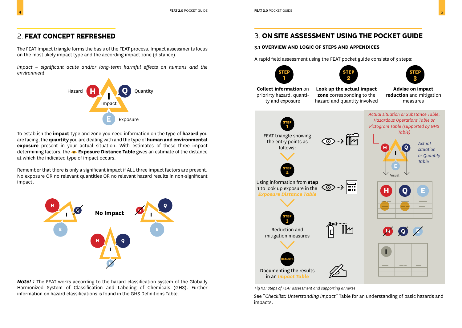The FEAT Impact triangle forms the basis of the FEAT process. Impact assessments focus on the most likely impact type and the according impact zone (distance).

*Impact = significant acute and/or long-term harmful effects on humans and the environment*



To establish the **impact** type and zone you need information on the type of **hazard** you are facing, the **quantity** you are dealing with and the type of **human and environmental exposure** present in your actual situation. With estimates of these three impact determining factors, the **Exposure Distance Table** gives an estimate of the distance at which the indicated type of impact occurs.

Remember that there is only a significant impact if ALL three impact factors are present. No exposure OR no relevant quantities OR no relevant hazard results in non-significant impact.



**Note!**: The FEAT works according to the hazard classification system of the Globally Harmonized System of Classification and Labeling of Chemicals (GHS). Further information on hazard classifications is found in the GHS Definitions Table.

### 3. **ON SITE ASSESSMENT USING THE POCKET GUIDE**

#### **3.1 OVERVIEW AND LOGIC OF STEPS AND APPENDICES**

A rapid field assessment using the FEAT pocket guide consists of 3 steps:









**Collect information** on priorirty hazard, quantity and exposure

**Look up the actual impact zone** corresponding to the hazard and quantity involved

**Advise on impact reduction** and mitigation measures



*Fig 3.1: Steps of FEAT assessment and supporting annexes*

See "*Checklist: Unterstanding Impact*" Table for an understanding of basic hazards and impacts.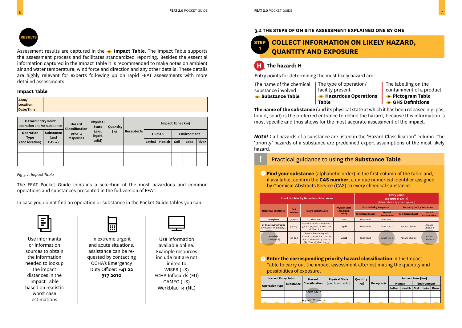

Assessment results are captured in the **Impact Table**. The Impact Table supports the assessment process and facilitates standardized reporting. Besides the essential information captured in the Impact Table it is recommended to make notes on ambient air and water temperature, wind force and direction and any other details. These details are highly relevant for experts following up on rapid FEAT assessments with more detailed assessments.

#### **Impact Table**

| Area/<br>Location: |  |
|--------------------|--|
| Date/Time:         |  |

| <b>Hazard Entry Point</b><br>operation and/or substance |                          | Hazard<br>Classification | Physical<br><b>State</b> | Quantity |            | Impact Zone [km] |        |                    |      |       |  |
|---------------------------------------------------------|--------------------------|--------------------------|--------------------------|----------|------------|------------------|--------|--------------------|------|-------|--|
| Operation<br>Type                                       | <b>Substance</b><br>(and | priority                 | (gas,<br>liquid,         | [kg]     | Receptor/s |                  | Human  | <b>Environment</b> |      |       |  |
| (and location)                                          | $CAS \#)$                | responses                | solid)                   |          |            | Lethal           | Health | Soil               | Lake | River |  |
|                                                         |                          |                          |                          |          |            |                  |        |                    |      |       |  |
|                                                         |                          |                          |                          |          |            |                  |        |                    |      |       |  |
|                                                         |                          |                          |                          |          |            |                  |        |                    |      |       |  |

*Fig 3.2: Impact Table*

The FEAT Pocket Guide contains a selection of the most hazardous and common operations and substances presented in the full version of FEAT.

In case you do not find an operation or substance in the Pocket Guide tables you can:



Use informants or information sources to obtain the information needed to lookup the impact distances in the Impact Table based on realistic worst case estimations



In extreme urgent and acute situations, assistance can be requested by contacting OCHA's Emergency Duty Officer: **+41 22 917 2010**



Use information available online. Example resources include but are not limited to: WISER (US) ECHA Infocards (EU) CAMEO (US) Werkblad 14 (NL)

#### **3.2 THE STEPS OF ON SITE ASSESSMENT EXPLAINED ONE BY ONE**

#### **STEP 1 COLLECT INFORMATION ON LIKELY HAZARD, QUANTITY AND EXPOSURE**

#### **H The hazard: H**

Entry points for determining the most likely hazard are:

**Table**

The name of the chemical | substance involved **• Substance Table** 

- The type of operation/ facility present
- The labelling on the containment of a product
- 
- **Hazardous Operations**
- 
- **Pictogram Table**
- **GHS Definitions**

**The name of the substance** (and its physical state at which it has been released e.g. gas, liquid, solid) is the preferred entrance to define the hazard, because this information is most specific and thus allows for the most accurate assessment of the impact.

*Note! :* all hazards of a substance are listed in the 'Hazard Classification" column. The 'priority' hazards of a substance are predefined expert assumptions of the most likely hazard.

- **!** Practical guidance to using the **Substance Table**
- **Find your substance** (alphabetic order) in the first column of the table and, 1 if available, confirm the **CAS number**, a unique numerical identifier assigned by Chemical Abstracts Service (CAS) to every chemical substance.

|                                                     |                                             | <b>Checklist Priority Hazardous Substances</b>                                                                               |                                                         | <b>Entry point</b><br><b>Exposure (FEAT-R)</b><br>[default choice by expert opinion] |                                                     |                                 |                                 |  |  |
|-----------------------------------------------------|---------------------------------------------|------------------------------------------------------------------------------------------------------------------------------|---------------------------------------------------------|--------------------------------------------------------------------------------------|-----------------------------------------------------|---------------------------------|---------------------------------|--|--|
|                                                     | CAS                                         |                                                                                                                              | <b>Physical State</b>                                   | <b>First Priority Response</b>                                                       |                                                     | <b>Second priority Response</b> |                                 |  |  |
|                                                     | <b>Hazardous Substance</b><br><b>Number</b> |                                                                                                                              | <b>Hazard Classification</b><br>(gas, liquid,<br>solid) |                                                                                      | Hazard<br><b>GHS Hazard Label</b><br>Classification |                                 | Hazard<br><b>Classification</b> |  |  |
| Acetylene                                           | $74 - 86 - 2$                               | Flam. Gas 1                                                                                                                  | Gas                                                     | <b>Flammable</b>                                                                     | Flam, Gas 1                                         |                                 |                                 |  |  |
| 1,1-Dimethylhydrazine<br>[Hydrazine, 1,1-dimethyl-] | $57 - 14 - 7$                               | Aquatic Chronic 2, Acute Tox.<br>3, Carc. 1B, Muta. 2, Skin Corr.<br>1B, Flam. Liq. 2,                                       | Liquid                                                  | Flammable                                                                            | Flam. Liq. 1                                        | Aquatic Chronic                 | Aquatic<br>Chronic 2            |  |  |
| <b>Acrolein</b><br>[2-Propenal]                     | $107 - 02 - 8$                              | Aquatic Acute 1, Aquatic<br>Chronic 1, Acute Tox. 1, Acute<br>Tox. 2, Acute Tox. 3, Carc. 2,<br>Skin Corr, 1B, Flam, Lig. 2. | Liquid                                                  | <b>Toxic liquid</b>                                                                  | Acute Tox. 1                                        | Aquatic Chronic                 | Aquatic<br>Chronic <sub>1</sub> |  |  |

2 **Enter the corresponding priority hazard classification** in the Impact Table to carry out the impact assessment after estimating the quantity and possibilities of exposure.

|  | <b>Hazard Entry Point</b> |                  | <b>Hazard</b>     | <b>Physical State</b> | Quantity |            |        | Impact Zone [km] |                    |      |       |
|--|---------------------------|------------------|-------------------|-----------------------|----------|------------|--------|------------------|--------------------|------|-------|
|  | <b>Operation Type</b>     | <b>Substance</b> | Classification    | (gas, liquid, solid)  | [kg]     | Receptor/s | Human  |                  | <b>Environment</b> |      |       |
|  |                           |                  |                   |                       |          |            | Lethal | Health           | Soil               | Lake | River |
|  |                           |                  | Acute Tox. 1      |                       |          |            |        |                  |                    |      |       |
|  |                           |                  | Aquatic Chronic i |                       |          |            |        |                  |                    |      |       |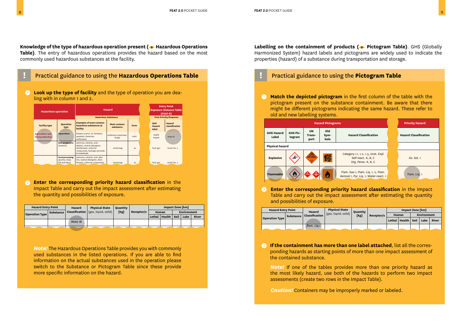Knowledge of the type of hazardous operation present ( $\bullet$  Hazardous Operations **Table)**. The entry of hazardous operations provides the hazard based on the most commonly used hazardous substances at the facility.



**Look up the type of facility** and the type of operation you are dea-<br>ling with in column 1 and 2



2 **Enter the corresponding priority hazard classification** in the Impact Table and carry out the impact assessment after estimating the quantity and possibilities of exposure.

| <b>Hazard Entry Point</b> |                  | <b>Hazard</b> | <b>Physical State</b>                      | Ouantity |            | <b>Impact Zone [km]</b> |                        |  |                    |       |
|---------------------------|------------------|---------------|--------------------------------------------|----------|------------|-------------------------|------------------------|--|--------------------|-------|
| Operation Type            | <b>Substance</b> |               | <b>Classification</b> (gas, liquid, solid) | [kg]     | Receptor/s |                         | Human                  |  | <b>Environment</b> |       |
|                           |                  |               |                                            |          |            |                         | Lethal   Health   Soil |  | Lake               | River |
|                           |                  | Muta 1B       |                                            |          |            |                         |                        |  |                    |       |

<sup>3</sup> *Note!* The Hazardous Operations Table provides you with commonly used substances in the listed operations. If you are able to find information on the actual substances used in the operation please switch to the Substance or Pictogram Table since these provide more specific information on the hazard.

**Labelling on the containment of products (** $\bullet$  **Pictogram Table)**. GHS (Globally Harmonized System) hazard labels and pictograms are widely used to indicate the properties (hazard) of a substance during transportation and storage.

ling with in column 1 and 2. **Match the depicted pictogram** in the first column of the table with the ling with in column of the table with the pictogram present on the substance containment. Be aware that there might be different pictograms indicating the same hazard. These refer to old and new labelling systems.



**Enter the corresponding priority hazard classification** in the Impact Table and carry out the impact assessment after estimating the quantity and possibilities of exposure.  $\boldsymbol{Q}$ 

|  | <b>Hazard Entry Point</b> |                  | Hazard         | <b>Physical State</b> | <b>Ouantity</b> |            | Impact Zone [km] |                   |                    |      |       |
|--|---------------------------|------------------|----------------|-----------------------|-----------------|------------|------------------|-------------------|--------------------|------|-------|
|  | <b>Operation Type</b>     | <b>Substance</b> | Classification | (gas, liquid, solid), | [kg]            | Receptor/s | Human            |                   | <b>Environment</b> |      |       |
|  |                           |                  |                |                       |                 |            |                  | Lethal   $Health$ | Soil               | Lake | River |
|  |                           |                  | flam. Lig.1    |                       |                 |            |                  |                   |                    |      |       |

**If the containment has more than one label attached**, list all the corresponding hazards as starting points of more than one impact assessment of the contained substance.

*Note!* If one of the tables provides more than one priority hazard as the most likely hazard, use both of the hazards to perform two impact assessments (create two rows in the Impact Table).

*Caution!* Containers may be improperly marked or labeled.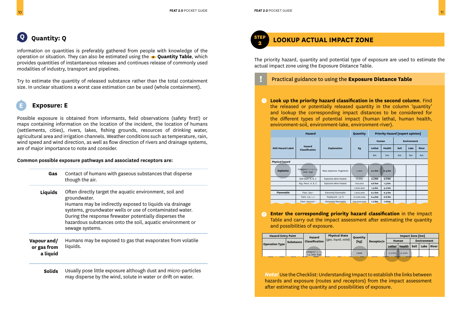Information on quantities is preferably gathered from people with knowledge of the operation or situation. They can also be estimated using the **Quantity Table**, which provides quantities of instantaneous releases and continues release of commonly used modalities of industry, transport and pipelines.

Try to estimate the quantity of released substance rather than the total containment size. In unclear situations a worst case estimation can be used (whole containment).

### **Exposure: E**

Possible exposure is obtained from informants, field observations (safety first!) or maps containing information on the location of the incident, the location of humans (settlements, cities), rivers, lakes, fishing grounds, resources of drinking water, agricultural area and irrigation channels. Weather conditions such as temperature, rain, wind speed and wind direction, as well as flow direction of rivers and drainage systems, are of major importance to note and consider.

#### **Common possible exposure pathways and associated receptors are:**

| Gas                                    | Contact of humans with gaseous substances that disperse<br>though the air.                                                                                                                                                                                                                                                                  |
|----------------------------------------|---------------------------------------------------------------------------------------------------------------------------------------------------------------------------------------------------------------------------------------------------------------------------------------------------------------------------------------------|
| Liquids                                | Often directly target the aquatic environment, soil and<br>groundwater.<br>Humans may be indirectly exposed to liquids via drainage<br>systems, groundwater wells or use of contaminated water.<br>During the response firewater potentially disperses the<br>hazardous substances onto the soil, aquatic environment or<br>sewage systems. |
| Vapour and/<br>or gas from<br>a liquid | Humans may be exposed to gas that evaporates from volatile<br>liquids.                                                                                                                                                                                                                                                                      |
| <b>Solids</b>                          | Usually pose little exposure although dust and micro-particles<br>may disperse by the wind, solute in water or drift on water.                                                                                                                                                                                                              |



#### **<sup>2</sup> LOOKUP ACTUAL IMPACT ZONE**

The priority hazard, quantity and potential type of exposure are used to estimate the actual impact zone using the Exposure Distance Table.

#### **!** Practical guidance to using the **Exposure Distance Table**

**1 Look up the priority hazard classification in the second column.** Find the released or potentially released quantity in the column 'quantity' and lookup the corresponding impact distances to be considered for the different types of potential impact (human lethal, human health, environment-soil, environment-lake, environment-river).

|                         | Hazard                                |                            | Quantity    |          |          | <b>Priority Hazard [expert opinion]</b> |      |       |
|-------------------------|---------------------------------------|----------------------------|-------------|----------|----------|-----------------------------------------|------|-------|
|                         |                                       |                            |             | Human    |          | <b>Environment</b>                      |      |       |
| <b>GHS Hazard Label</b> | Hazard<br>Classification              | <b>Explanation</b>         | Kg          | Lethal   | Health   | Soil                                    | Lake | River |
|                         |                                       |                            |             | km       | km       | km                                      | km   | km    |
| Physical hazard         |                                       |                            |             |          |          |                                         |      |       |
| <b>Explosive</b>        | Category 1.1, 1.2, 1.5,<br>Unst. Expl | Mass explosion, fragments  | 1.000       | $0.2$ km | $0.4$ km |                                         |      |       |
|                         | Self react. A, B, C                   | Explosive when heated      | 10,000      | o.3 km   | o.7 km   |                                         |      |       |
|                         | Org. Perox. A, B, C                   | Explosive when heated      | 100,000     | o.6 km   | 1.5 km   |                                         |      |       |
|                         |                                       |                            | 1,000,000   | 1.3 km   | 3.2 km   |                                         |      |       |
| <b>Flammable</b>        | Flam, Gas 1                           | <b>Extremely flammable</b> | 1,000,000   | $0.2$ km | o.3 km   |                                         |      |       |
|                         | Flam. Liq. 1, 2                       | Flashpoint < 23 °C         | 10,000,000  | 0.4 km   | o.6 km   |                                         |      |       |
|                         | Flam. Aerosol 1                       | <b>Extremely flammable</b> | 100,000,000 | 1.2 km   | 1.8 km   |                                         |      |       |

**2 Enter the corresponding priority hazard classification** in the Impact Table and carry out the impact assessment after estimating the quantity and possibilities of exposure.

| <b>Hazard Entry Point</b> |                  | <b>Physical State</b><br>Hazard       | Ouantity               |       | <b>Impact Zone [km]</b> |          |                   |             |      |              |
|---------------------------|------------------|---------------------------------------|------------------------|-------|-------------------------|----------|-------------------|-------------|------|--------------|
| <b>Operation Type</b>     | <b>Substance</b> | Classification                        | I (gas, liquid, solid) | [kg]  | Receptor/s              | Human    |                   | Environment |      |              |
|                           |                  |                                       |                        |       |                         |          | Lethal Health     | Soil        | Lake | <b>River</b> |
|                           |                  | Category 1.1, 1.2,<br>1.5. Unst. Expl |                        | 1.000 |                         | $0.2$ km | 0.4 <sub>km</sub> |             |      |              |

*Note!* Use the Checklist: Understanding Impact to establish the links between hazards and exposure (routes and receptors) from the impact assessment after estimating the quantity and possibilities of exposure.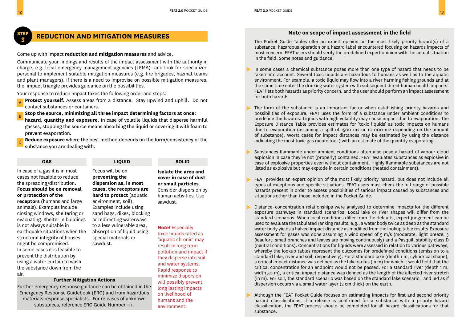#### **3 REDUCTION AND MITIGATION MEASURES**

Come up with impact **reduction and mitigation measures** and advice.

Communicate your findings and results of the impact assessment with the authority in charge, e.g. local emergency management agencies (LEMA)- and look for specialized personal to implement suitable mitigation measures (e.g. fire brigades, hazmat teams and plant managers). If there is a need to improvise on possible mitigation measures, the impact triangle provides guidance on the possibilities.

Your response to reduce impact takes the following order and steps:

**Protect yourself.** Assess areas from a distance. Stay upwind and uphill. Do not contact substances or containers. A

**Stop the source, minimizing all three impact determining factors at once:** B

**hazard, quantity and exposure.** In case of volatile liquids that disperse harmful gasses, stopping the source means absorbing the liquid or covering it with foam to prevent evaporation.

**Reduce exposure** where the best method depends on the form/consistency of the substance you are dealing with: C

**GAS LIQUID SOLID**

#### In case of a gas it is in most cases not feasible to reduce the spreading/distribution. **Focus should be on removal or protection of the receptors** (humans and large animals). Examples include closing windows, sheltering or evacuating. Shelter in buildings is not always suitable in earthquake situations when the structural integrity of houses might be compromised. In some cases it is feasible to prevent the distribution by using a water curtain to wash the substance down from the air.

Focus will be on **preventing the dispersion as, in most cases, the receptors are hard to protect** (aquatic environment, soil). Examples include using sand bags, dikes, blocking or redirecting waterways to a less vulnerable area, absorption of liquid using special materials or sawdust.

**Isolate the area and cover in case of dust or small particles**. Consider dispersion by human activities. Use sawdust.

#### **Further Mitigation Actions**

Further emergency response guidance can be obtained in the Emergency Response Guidebook (ERG) and from hazardous materials response specialists. For releases of unknown substances, reference ERG Guide Number 111.

#### *Note!* Especially toxic liquids rated as 'aquatic chronic' may result in long term pollution and impact if they disperse into soil and water systems. Rapid response to minimize dispersion will possibly prevent long lasting impacts on livelihood of humans and the environment.

#### Note on scope of impact assessment in the field

The Pocket Guide Tables offer an expert opinion on the most likely priority hazard(s) of a substance, hazardous operation or a hazard label encountered focusing on hazards impacts of most concern. FEAT users should verify the predefined expert opinion with the actual situation in the field. Some notes and guidance:

- In some cases a chemical substance poses more than one type of hazard that needs to be taken into account. Several toxic liquids are hazardous to humans as well as to the aquatic environment. For example, a toxic liquid may flow into a river harming fishing grounds and at the same time enter the drinking water system with subsequent direct human health impacts. FEAT lists both hazards as priority concern, and the user should perform an impact assessment for both hazards.
- The form of the substance is an important factor when establishing priority hazards and possibilities of exposure. FEAT uses the form of a substance under ambient conditions to predefine the hazards. Liquids with high volatility may cause impact due to evaporation. The Exposure Distance Table provides estimates for 'toxic liquids' as toxic impacts on humans due to evaporation (assuming a spill of 1500 m2 or 10.000 m2 depending on the amount of substance). Worst cases for impact distances may be estimated by using the distance indicating the most toxic gas (acute tox 1) with an estimate of the quantity evaporating.
- Substances flammable under ambient conditions often also pose a hazard of vapour cloud explosion in case they're not (properly) contained. FEAT evaluates substances as explosive in case of explosive properties even without containment. Highly flammable substances are not listed as explosive but may explode in certain conditions (heated containment).
- FEAT provides an expert opinion of the most likely priority hazard, but does not include all types of exceptions and specific situations. FEAT users must check the full range of possible hazards present in order to assess possibilities of serious impact caused by substances and situations other than those included in the Pocket Guide.
- Distance–concentration relationships were analysed to determine impacts for the different exposure pathways in standard scenarios. Local lake or river shapes will differ from the standard scenarios. When local conditions differ from the defaults, expert judgement can be used to evaluate the tabulated ranking results, e.g., a water body twice as deep as the standard water body yields a halved impact distance as modified from the lookup table results.Exposure assessment for gases was done assuming a wind speed of  $5 \text{ m/s}$  (moderate, light breeze; 3 Beaufort; small branches and leaves are moving continuously) and a Pasquill stability class D (neutral conditions). Concentrations for liquids were assessed in relation to various pathways, whereby the lookup tables represent the outcomes for predefined conditions (emission to a standard lake, river and soil, respectively). For a standard lake (depth 1 m, cylindrical shape), a critical impact distance was defined as the lake radius (in m) for which it would hold that the critical concentration for an endpoint would not be passed. For a standard river (depth 1 m, width 50 m), a critical impact distance was defined as the length of the affected river stretch (in m). For soil, the standard scenario was based on the standard lake scenario, and led as if dispersion occurs via a small water layer (2 cm thick) on the earth.
- Although the FEAT Pocket Guide focuses on estimating impacts for first and second priority hazard classifications, if a release is confirmed for a substance with a priority hazard classification, the FEAT process should be completed for all hazard classifications for that substance.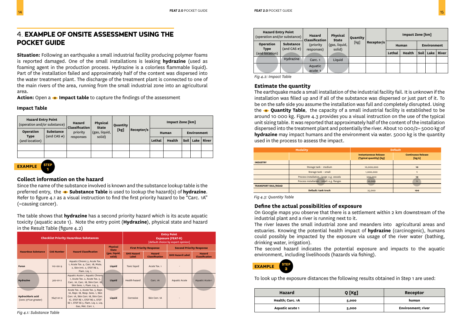### 4. **EXAMPLE OF ONSITE ASSESSMENT USING THE POCKET GUIDE**

**Situation:** Following an earthquake a small industrial facility producing polymer foams is reported damaged. One of the small installations is leaking **hydrazine** (used as foaming agent in the production process. Hydrazine is a colorless flammable liquid). Part of the installation failed and approximately half of the content was dispersed into the water treatment plant. The discharge of the treatment plant is connected to one of the main rivers of the area, running from the small industrial zone into an agricultural area.

**Action:** Open a **Impact table** to capture the findings of the assessment

#### **Impact Table**

| <b>Hazard Entry Point</b><br>(operation and/or substance) |                                | Hazard<br>Classification | Physical<br><b>State</b> | Quantity |            | Impact Zone [km] |        |      |             |       |  |
|-----------------------------------------------------------|--------------------------------|--------------------------|--------------------------|----------|------------|------------------|--------|------|-------------|-------|--|
| Operation<br><b>Type</b>                                  | <b>Substance</b><br>(and CAS#) | priority                 | (gas, liquid,<br>solid)  | [kg]     | Receptor/s |                  | Human  |      | Environment |       |  |
| (and location)                                            |                                | responses                |                          |          |            | Lethal           | Health | Soil | Lake        | River |  |
|                                                           |                                |                          |                          |          |            |                  |        |      |             |       |  |
|                                                           |                                |                          |                          |          |            |                  |        |      |             |       |  |

#### **EXAMPLE STEP 1**

#### **Collect information on the hazard**

Since the name of the substance involved is known and the substance lookup table is the preferred entry, the  $\bullet$  **Substance Table** is used to lookup the hazard(s) of **hydrazine**. Refer to figure 4.1 as a visual instruction to find the first priority hazard to be "Carc. 1A" (=causing cancer).

The table shows that **hydrazine** has a second priority hazard which is its acute aquatic toxicity (aquatic acute 1). Note the entry point (**Hydrazine**), physical state and hazard in the Result Table (figure 4.2)

|                                                   |                   | <b>Checklist Priority Hazardous Substances</b>                                                                                                                                                               |                                 | <b>Entry Point</b><br><b>Exposure (FEAT-R)</b><br>[default choice by expert opinion] |                                 |                                 |                                 |  |  |
|---------------------------------------------------|-------------------|--------------------------------------------------------------------------------------------------------------------------------------------------------------------------------------------------------------|---------------------------------|--------------------------------------------------------------------------------------|---------------------------------|---------------------------------|---------------------------------|--|--|
|                                                   |                   |                                                                                                                                                                                                              | <b>Physical</b><br><b>State</b> |                                                                                      | <b>First Priority Response</b>  | <b>Second Priority Response</b> |                                 |  |  |
| <b>Hazardous Substance</b>                        | <b>CAS Number</b> | <b>Hazard Classification</b>                                                                                                                                                                                 | (gas, liquid,<br>solid)         | <b>GHS Hazard</b><br>Label                                                           | Hazard<br><b>Classification</b> | <b>GHS Hazard Label</b>         | Hazard<br><b>Classification</b> |  |  |
| Furan                                             | $110 - 00 - 9$    | Aquatic Chronic 3, Acute Tox.<br>1, Acute Tox. 4, Carc. 1B, Muta.<br>2, Skin Irrit. 2, STOT RE 2,<br>Flam. Lig. 1,                                                                                           | Liquid                          | <b>Toxic liquid</b>                                                                  | Acute Tox. 1                    |                                 |                                 |  |  |
| Hydrazine                                         | 302-01-2          | Aquatic Acute 1, Aquatic Chronic<br>1, Acute Tox. 2, Acute Tox. 3,<br>Carc. 1A, Carc. 1B, Skin Corr. 1B,<br>Skin Sens. 1, Flam. Liq. 3,                                                                      | Liquid                          | Health hazard                                                                        | Carc, 1A                        | <b>Aquatic Acute</b>            | Aquatic Acute 1                 |  |  |
| <b>Hydrochloric acid</b><br>(conc 37% or greater) | 7647-01-0         | Acute Tox. 2, Acute Tox. 3, Repr.<br>1A, Repr. 1B, Resp. Sens. 1, Skin<br>Corr. 1A, Skin Corr. 1B, Skin Corr.<br>1C, STOT RE 1, STOT RE 2, STOT<br>SE 1, STOT SE 3, Flam. Lig. 2, Lig.<br>Gas, Met. Corr. 1, | Liquid                          | Corrosive                                                                            | Skin Corr. 1A                   |                                 |                                 |  |  |

| <b>Hazard Entry Point</b><br>(operation and/or substance) |                                | Physical<br>Hazard<br>Classification<br><b>State</b> | Quantity                |      | Impact Zone [km] |        |        |                    |      |       |
|-----------------------------------------------------------|--------------------------------|------------------------------------------------------|-------------------------|------|------------------|--------|--------|--------------------|------|-------|
| Operation<br><b>Type</b>                                  | <b>Substance</b><br>(and CAS#) | (priority<br>responses)                              | (gas, liquid,<br>solid) | [kg] | Receptor/s       | Human  |        | <b>Environment</b> |      |       |
| (and location)                                            |                                |                                                      |                         |      |                  | Lethal | Health | Soil               | Lake | River |
|                                                           | Hydrazine                      | Carc. <sub>1</sub>                                   | Liquid                  |      |                  |        |        |                    |      |       |
|                                                           |                                | Aquatic                                              |                         |      |                  |        |        |                    |      |       |
|                                                           |                                | acute 1                                              |                         |      |                  |        |        |                    |      |       |

*Fig 4.2: Impact Table*

#### **Estimate the quantity**

The earthquake made a small installation of the industrial facility fail. It is unknown if the installation was filled up and if all of the substance was dispersed or just part of it. To be on the safe side you assume the installation was full and completely disrupted. Using the **Quantity Table**, the capacity of a small industrial facility is established to be around 10 000 kg. Figure 4.3 provides you a visual instruction on the use of the typical unit sizing table. It was reported that approximately half of the content of the installation dispersed into the treatment plant and potentially the river. About 10 000/2= 5000 kg of **hydrazine** may impact humans and the environment via water. 5000 kg is the quantity used in the process to assess the impact.

|                            | <b>Modality</b>                            | <b>Default</b>                                          |                                     |  |  |  |
|----------------------------|--------------------------------------------|---------------------------------------------------------|-------------------------------------|--|--|--|
|                            |                                            | <b>Instantaneous Release</b><br>(Typical quantity) [kg] | <b>Continuous Release</b><br>[kg/s] |  |  |  |
| <b>INDUSTRY</b>            |                                            |                                                         |                                     |  |  |  |
|                            | Storage tank - medium                      | 10,000,000                                              | 10 <sup>10</sup>                    |  |  |  |
|                            | Storage tank - small                       | 1,000,000                                               |                                     |  |  |  |
|                            | Process installation - large: e.g. vessels | 500,000                                                 | 10 <sup>2</sup>                     |  |  |  |
|                            | Process installation - small: e.g. flanges | 10,000                                                  |                                     |  |  |  |
| <b>TRANSPORT RAIL/ROAD</b> |                                            |                                                         |                                     |  |  |  |
|                            | Default: tank truck                        | 25,000                                                  | 100                                 |  |  |  |

*Fig 4.3: Quantity Table*

#### **Define the actual possibilities of exposure**

On Google maps you observe that there is a settlement within 2 km downstream of the industrial plant and a river is running next to it.

The river leaves the small industrial zone and meanders into agricultural areas and estuaries. Knowing the potential health impact of **hydrazine** (carcinogenic), humans could possibly be impacted by the exposure via usage of the river water (bathing, drinking water, irrigation).

The second hazard indicates the potential exposure and impacts to the aquatic environment, including livelihoods (hazards via fishing).



To look up the exposure distances the following results obtained in Step 1 are used:

| <b>Hazard</b>    | Q [Kg] | Receptor                   |
|------------------|--------|----------------------------|
| Health; Carc. 1A | 5,000  | human                      |
| Aquatic acute 1  | 5,000  | <b>Environment</b> ; river |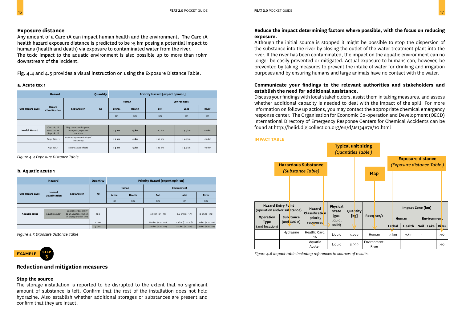#### **Exposure distance**

Any amount of a Carc 1A can impact human health and the environment. The Carc 1A health hazard exposure distance is predicted to be >5 km posing a potential impact to humans (health and death) via exposure to contaminated water from the river. The toxic impact to the aquatic environment is also possible up to more than 10km downstream of the incident.

Fig. 4.4 and 4.5 provides a visual instruction on using the Exposure Distance Table.

#### **a. Acute tox 1**

|                         | Hazard                                       |                                                             |    |          | <b>Priority Hazard [expert opinion]</b> |             |            |          |  |  |  |  |
|-------------------------|----------------------------------------------|-------------------------------------------------------------|----|----------|-----------------------------------------|-------------|------------|----------|--|--|--|--|
|                         |                                              |                                                             |    |          | Human                                   | Environment |            |          |  |  |  |  |
| <b>GHS Hazard Label</b> | Hazard<br>Classification                     | <b>Explanation</b>                                          | Kg | Lethal   | Health                                  | Soil        | Lake       | River    |  |  |  |  |
|                         |                                              |                                                             |    | km       | km                                      | km          | km         | km       |  |  |  |  |
|                         |                                              |                                                             |    |          |                                         |             |            |          |  |  |  |  |
| <b>Health Hazard</b>    | Carc. 1A, 1B<br>Muta. 1A, 1B<br>Repr. 1A, 1B | May cause carcinogenic,<br>mutagenic, repotoxic<br>mutation |    | $> 5$ km | > 5 km                                  | $>10$ km    | $>4.5$ km  | $>10$ km |  |  |  |  |
|                         | Resp. Sens. 1                                | Induces hypersensitivity of<br>the airways                  |    | $> 5$ km | $> 5$ km                                | $>10$ km    | $>$ 4.5 km | $>10$ km |  |  |  |  |
|                         | Asp. Tox. 1                                  | Severe acute effects                                        |    | $> 5$ km | > 5 km                                  | $>10$ km    | $> 4.5$ km | $>10$ km |  |  |  |  |

*Figure 4.4 Exposure Distance Table*

#### **b. Aquatic acute 1**

| Hazard                  |                                                |                                                                            | Quantity | <b>Priority Hazard [expert opinion]</b> |      |                             |                            |                    |  |  |
|-------------------------|------------------------------------------------|----------------------------------------------------------------------------|----------|-----------------------------------------|------|-----------------------------|----------------------------|--------------------|--|--|
|                         |                                                |                                                                            |          | Human                                   |      | <b>Environment</b>          |                            |                    |  |  |
| <b>GHS Hazard Label</b> | Hazard<br><b>Explanation</b><br>Classification | Kg                                                                         | Lethal   | Health                                  | Soil | Lake                        | River                      |                    |  |  |
|                         |                                                |                                                                            |          | km                                      | km   | km                          | km                         | km                 |  |  |
|                         |                                                |                                                                            |          |                                         |      |                             |                            |                    |  |  |
| <b>Aquatic acute</b>    | Aquatic Acute 1                                | Causes serious injury<br>to an aquatic organism<br>in short period of time | 100      |                                         |      | 2.8 km (0.1 - 11)           | $0.4 \text{ km} (0 - 1.5)$ | 10 km (0 - >10)    |  |  |
|                         |                                                |                                                                            | 1,000    |                                         |      | $8.9 \text{ km} (0.4 - 10)$ | $1.3$ km (0.1 - 4.8)       | >10 km (0.2 - >10) |  |  |
|                         |                                                |                                                                            | 5.000    |                                         |      | $>10$ km (0.8 - $>10$ )     | $2.8$ km (0.1 - 10)        | >10 km (0.8 - >10) |  |  |

*Figure 4.5 Exposure Distance Table*



#### **Reduction and mitigation measures**

#### **Stop the source**

The storage installation is reported to be disrupted to the extent that no significant amount of substance is left. Confirm that the rest of the installation does not hold hydrazine. Also establish whether additional storages or substances are present and confirm that they are intact.

#### **Reduce the impact determining factors where possible, with the focus on reducing exposure.**

Although the initial source is stopped it might be possible to stop the dispersion of the substance into the river by closing the outlet of the water treatment plant into the river. If the river has been contaminated, the impact on the aquatic environment can no longer be easily prevented or mitigated. Actual exposure to humans can, however, be prevented by taking measures to prevent the intake of water for drinking and irrigation purposes and by ensuring humans and large animals have no contact with the water.

#### **Communicate your findings to the relevant authorities and stakeholders and establish the need for additional assistance.**

Discuss your findings with local stakeholders, assist them in taking measures, and assess whether additional capacity is needed to deal with the impact of the spill. For more information on follow up actions, you may contact the appropriate chemical emergency response center. The Organisation for Economic Co-operation and Development (OECD) International Directory of Emergency Response Centers for Chemical Accidents can be found at [http://helid.digicollection.org/en/d/Js13467e/10.html](http://helid.digicollection.org/en/d/Js13467e/10.html  ) 

**IMPACT TABLE**

|                                                        |                                                                                                                                                                                                                                             |                               |        | <b>Typical unit sizing</b><br>(Quantities Table) |                       |                 |                                                              |                            |       |     |
|--------------------------------------------------------|---------------------------------------------------------------------------------------------------------------------------------------------------------------------------------------------------------------------------------------------|-------------------------------|--------|--------------------------------------------------|-----------------------|-----------------|--------------------------------------------------------------|----------------------------|-------|-----|
| <b>Hazardous Substance</b><br><i>(Substance Table)</i> |                                                                                                                                                                                                                                             |                               |        |                                                  | Map                   |                 | <b>Exposure distance</b><br><i>(Exposure distance Table)</i> |                            |       |     |
|                                                        |                                                                                                                                                                                                                                             |                               |        |                                                  |                       |                 |                                                              |                            |       |     |
|                                                        | <b>Hazard Entry Point</b><br>Physical<br>Hazard<br>(operation and/or sub stance)<br><b>State</b><br>Classification<br>(gas,<br>Operation<br><b>Substance</b><br>priority<br>liquid,<br>$(and CAS \#)$<br><b>Type</b><br>responses<br>solid) |                               |        | Quantity                                         |                       |                 | Impact Zone [km]                                             |                            |       |     |
| (and location)                                         |                                                                                                                                                                                                                                             |                               | [k]    | Receptor/s                                       | Lethal                | Human<br>Health | Soil                                                         | <b>Environment</b><br>Lake | River |     |
|                                                        | Hydrazine                                                                                                                                                                                                                                   | Health; Carc.<br>1А           | Liquid | 5,000                                            | Human                 | >5km            | >5km                                                         | ٠                          |       | >10 |
|                                                        |                                                                                                                                                                                                                                             | Aquatic<br>Acute <sub>1</sub> | Liquid | 5,000                                            | Environment.<br>River |                 |                                                              |                            |       | >10 |

*Figure 4.6 Impact table including references to sources of results.*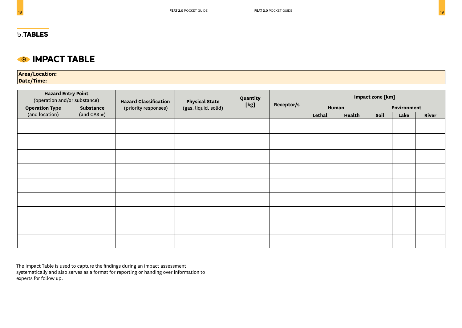#### **IMPACT TABLE**  $\bigcirc$

**Area/Location: Date/Time:**

| <b>Hazard Entry Point</b><br>(operation and/or substance) |            | <b>Hazard Classification</b> | <b>Physical State</b> | Quantity |            |        |        | Impact zone [km] |             |       |
|-----------------------------------------------------------|------------|------------------------------|-----------------------|----------|------------|--------|--------|------------------|-------------|-------|
| <b>Operation Type</b>                                     | Substance  | (priority responses)         | (gas, liquid, solid)  | [kg]     | Receptor/s |        | Human  |                  | Environment |       |
| (and location)                                            | (and CAS#) |                              |                       |          |            | Lethal | Health | Soil             | Lake        | River |
|                                                           |            |                              |                       |          |            |        |        |                  |             |       |
|                                                           |            |                              |                       |          |            |        |        |                  |             |       |
|                                                           |            |                              |                       |          |            |        |        |                  |             |       |
|                                                           |            |                              |                       |          |            |        |        |                  |             |       |
|                                                           |            |                              |                       |          |            |        |        |                  |             |       |
|                                                           |            |                              |                       |          |            |        |        |                  |             |       |
|                                                           |            |                              |                       |          |            |        |        |                  |             |       |
|                                                           |            |                              |                       |          |            |        |        |                  |             |       |
|                                                           |            |                              |                       |          |            |        |        |                  |             |       |

The Impact Table is used to capture the findings during an impact assessment systematically and also serves as a format for reporting or handing over information to experts for follow up.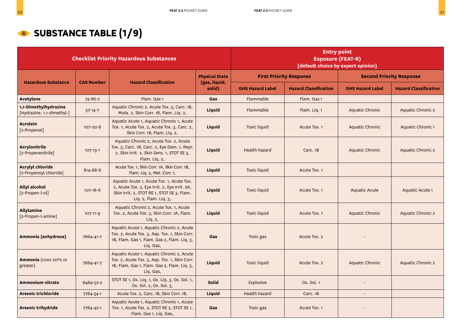### **SUBSTANCE TABLE (1/9)**

|                                                     |                   | <b>Checklist Priority Hazardous Substances</b>                                                                                                                    |                         | <b>Entry point</b><br><b>Exposure (FEAT-R)</b><br>[default choice by expert opinion] |                              |                                 |                              |
|-----------------------------------------------------|-------------------|-------------------------------------------------------------------------------------------------------------------------------------------------------------------|-------------------------|--------------------------------------------------------------------------------------|------------------------------|---------------------------------|------------------------------|
|                                                     |                   | <b>Hazard Classification</b>                                                                                                                                      | <b>Physical State</b>   | <b>First Priority Response</b>                                                       |                              | <b>Second Priority Response</b> |                              |
| <b>Hazardous Substance</b>                          | <b>CAS Number</b> |                                                                                                                                                                   | (gas, liquid,<br>solid) | <b>GHS Hazard Label</b>                                                              | <b>Hazard Classification</b> | <b>GHS Hazard Label</b>         | <b>Hazard Classification</b> |
| <b>Acetylene</b>                                    | 74-86-2           | Flam. Gas 1                                                                                                                                                       | Gas                     | Flammable                                                                            | Flam. Gas 1                  |                                 |                              |
| 1,1-Dimethylhydrazine<br>[Hydrazine, 1,1-dimethyl-] | $57 - 14 - 7$     | Aquatic Chronic 2, Acute Tox. 3, Carc. 1B,<br>Muta. 2, Skin Corr. 1B, Flam. Liq. 2,                                                                               | <b>Liquid</b>           | Flammable                                                                            | Flam. Liq. 1                 | Aquatic Chronic                 | Aquatic Chronic 2            |
| <b>Acrolein</b><br>[2-Propenal]                     | 107-02-8          | Aquatic Acute 1, Aquatic Chronic 1, Acute<br>Tox. 1, Acute Tox. 2, Acute Tox. 3, Carc. 2,<br>Skin Corr. 1B, Flam. Liq. 2,                                         | Liquid                  | <b>Toxic liquid</b>                                                                  | Acute Tox. 1                 | Aquatic Chronic                 | Aquatic Chronic 1            |
| <b>Acrylonitrile</b><br>[2-Propenenitrile]          | $107-13-1$        | Aquatic Chronic 2, Acute Tox. 2, Acute<br>Tox. 3, Carc. 1B, Carc. 2, Eye Dam. 1, Repr.<br>2, Skin Irrit. 2, Skin Sens. 1, STOT SE 3,<br>Flam. Lig. 2,             | <b>Liquid</b>           | <b>Health hazard</b>                                                                 | Carc. 1B                     | Aquatic Chronic                 | <b>Aquatic Chronic 2</b>     |
| <b>Acrylyl chloride</b><br>[2-Propenoyl chloride]   | 814-68-6          | Acute Tox. 1, Skin Corr. 1A, Skin Corr. 1B,<br>Flam. Liq. 2, Met. Corr. 1,                                                                                        | <b>Liquid</b>           | <b>Toxic liquid</b>                                                                  | Acute Tox. 1                 |                                 |                              |
| <b>Allyl alcohol</b><br>[2-Propen-l-ol]             | $107 - 18 - 6$    | Aquatic Acute 1, Acute Tox. 1, Acute Tox.<br>2, Acute Tox. 3, Eye Irrit. 2, Eye Irrit. 2A,<br>Skin Irrit. 2, STOT RE 1, STOT SE 3, Flam.<br>Liq. 2, Flam. Liq. 3, | Liquid                  | <b>Toxic liquid</b>                                                                  | Acute Tox. 1                 | <b>Aquatic Acute</b>            | Aquatic Acute 1              |
| <b>Allylamine</b><br>[2-Propen-l-amine]             | $107 - 11 - 9$    | Aquatic Chronic 2, Acute Tox. 1, Acute<br>Tox. 2, Acute Tox. 3, Skin Corr. 1A, Flam.<br>Liq. 2,                                                                   | Liquid                  | <b>Toxic liquid</b>                                                                  | Acute Tox. 1                 | Aquatic Chronic                 | Aquatic Chronic 2            |
| Ammonia (anhydrous)                                 | 7664-41-7         | Aquatic Acute 1, Aquatic Chronic 2, Acute<br>Tox. 2, Acute Tox. 3, Asp. Tox. 1, Skin Corr.<br>1B, Flam. Gas 1, Flam. Gas 2, Flam. Liq. 3,<br>Liq. Gas,            | Gas                     | Toxic gas                                                                            | Acute Tox. 2                 |                                 |                              |
| Ammonia (conc 20% or<br>greater)                    | 7664-41-7         | Aquatic Acute 1, Aquatic Chronic 2, Acute<br>Tox. 2, Acute Tox. 3, Asp. Tox. 1, Skin Corr.<br>1B, Flam. Gas 1, Flam. Gas 2, Flam. Liq. 3,<br>Liq. Gas,            | Liquid                  | <b>Toxic liquid</b>                                                                  | Acute Tox. 2                 | Aquatic Chronic                 | Aquatic Chronic 2            |
| <b>Ammonium nitrate</b>                             | 6484-52-2         | STOT SE 1, Ox. Liq. 1, Ox. Liq. 3, Ox. Sol. 1,<br>Ox. Sol. 2, Ox. Sol. 3,                                                                                         | <b>Solid</b>            | Explosive                                                                            | Ox. Sol. 1                   |                                 |                              |
| <b>Arsenic trichloride</b>                          | 7784-34-1         | Acute Tox. 2, Carc. 1B, Skin Corr. 1B,                                                                                                                            | Liquid                  | <b>Health hazard</b>                                                                 | Carc. 1B                     |                                 |                              |
| <b>Arsenic trihydride</b>                           | 7784-42-1         | Aquatic Acute 1, Aquatic Chronic 1, Acute<br>Tox. 1, Acute Tox. 2, STOT RE 2, STOT SE 1,<br>Flam. Gas 1, Liq. Gas,                                                | Gas                     | Toxic gas                                                                            | Acute Tox. 1                 |                                 |                              |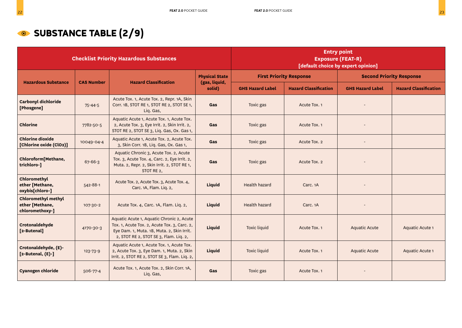### **SUBSTANCE TABLE (2/9)**

|                                                                  |                   | <b>Checklist Priority Hazardous Substances</b>                                                                                                                                    |                         | <b>Entry point</b><br><b>Exposure (FEAT-R)</b><br>[default choice by expert opinion] |                              |                         |                                 |
|------------------------------------------------------------------|-------------------|-----------------------------------------------------------------------------------------------------------------------------------------------------------------------------------|-------------------------|--------------------------------------------------------------------------------------|------------------------------|-------------------------|---------------------------------|
| <b>Hazardous Substance</b>                                       | <b>CAS Number</b> | <b>Hazard Classification</b>                                                                                                                                                      | <b>Physical State</b>   | <b>First Priority Response</b>                                                       |                              |                         | <b>Second Priority Response</b> |
|                                                                  |                   |                                                                                                                                                                                   | (gas, liquid,<br>solid) | <b>GHS Hazard Label</b>                                                              | <b>Hazard Classification</b> | <b>GHS Hazard Label</b> | <b>Hazard Classification</b>    |
| <b>Carbonyl dichloride</b><br>[Phosgene]                         | $75 - 44 - 5$     | Acute Tox. 1, Acute Tox. 2, Repr. 1A, Skin<br>Corr. 1B, STOT RE 1, STOT RE 2, STOT SE 1,<br>Liq. Gas,                                                                             | Gas                     | Toxic gas                                                                            | Acute Tox. 1                 |                         |                                 |
| <b>Chlorine</b>                                                  | 7782-50-5         | Aquatic Acute 1, Acute Tox. 1, Acute Tox.<br>2, Acute Tox. 3, Eye Irrit. 2, Skin Irrit. 2,<br>STOT RE 2, STOT SE 3, Liq. Gas, Ox. Gas 1,                                          | Gas                     | Toxic gas                                                                            | Acute Tox. 1                 |                         |                                 |
| <b>Chlorine dioxide</b><br>[Chlorine oxide (ClO2)]               | 10049-04-4        | Aquatic Acute 1, Acute Tox. 2, Acute Tox.<br>3, Skin Corr. 1B, Liq. Gas, Ox. Gas 1,                                                                                               | Gas                     | Toxic gas                                                                            | Acute Tox. 2                 |                         |                                 |
| Chloroform[Methane,<br>trichloro-]                               | $67 - 66 - 3$     | Aquatic Chronic 3, Acute Tox. 2, Acute<br>Tox. 3, Acute Tox. 4, Carc. 2, Eye Irrit. 2,<br>Muta. 2, Repr. 2, Skin Irrit. 2, STOT RE 1,<br>STOT RE 2,                               | Gas                     | Toxic gas                                                                            | Acute Tox. 2                 |                         |                                 |
| Chloromethyl<br>ether [Methane,<br>oxybis[chloro-]               | $542 - 88 - 1$    | Acute Tox. 2, Acute Tox. 3, Acute Tox. 4,<br>Carc. 1A, Flam. Liq. 2,                                                                                                              | Liquid                  | <b>Health hazard</b>                                                                 | Carc. <sub>1</sub> A         |                         |                                 |
| <b>Chloromethyl methyl</b><br>ether [Methane,<br>chloromethoxy-] | 107-30-2          | Acute Tox. 4, Carc. 1A, Flam. Liq. 2,                                                                                                                                             | Liquid                  | Health hazard                                                                        | Carc. <sub>1</sub> A         |                         |                                 |
| Crotonaldehyde<br>[2-Butenal]                                    | 4170-30-3         | Aquatic Acute 1, Aquatic Chronic 2, Acute<br>Tox. 1, Acute Tox. 2, Acute Tox. 3, Carc. 2,<br>Eye Dam. 1, Muta. 1B, Muta. 2, Skin Irrit.<br>2, STOT RE 2, STOT SE 3, Flam. Liq. 2, | Liquid                  | <b>Toxic liquid</b>                                                                  | Acute Tox. 1                 | <b>Aquatic Acute</b>    | Aquatic Acute 1                 |
| Crotonaldehyde, (E)-<br>$[2-Butenal, (E)-]$                      | 123-73-9          | Aquatic Acute 1, Acute Tox. 1, Acute Tox.<br>2, Acute Tox. 3, Eye Dam. 1, Muta. 2, Skin<br>Irrit. 2, STOT RE 2, STOT SE 3, Flam. Liq. 2,                                          | Liquid                  | <b>Toxic liquid</b>                                                                  | Acute Tox. 1                 | <b>Aquatic Acute</b>    | Aquatic Acute 1                 |
| <b>Cyanogen chloride</b>                                         | 506-77-4          | Acute Tox. 1, Acute Tox. 2, Skin Corr. 1A,<br>Liq. Gas,                                                                                                                           | Gas                     | Toxic gas                                                                            | Acute Tox. 1                 |                         |                                 |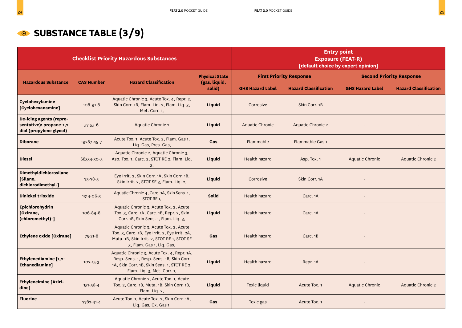## **SUBSTANCE TABLE (3/9)**

|                                                                               | <b>Checklist Priority Hazardous Substances</b> |                                                                                                                                                                       |                         |                         | <b>Entry point</b><br><b>Exposure (FEAT-R)</b><br>[default choice by expert opinion] |                                 |                              |  |
|-------------------------------------------------------------------------------|------------------------------------------------|-----------------------------------------------------------------------------------------------------------------------------------------------------------------------|-------------------------|-------------------------|--------------------------------------------------------------------------------------|---------------------------------|------------------------------|--|
|                                                                               |                                                |                                                                                                                                                                       | <b>Physical State</b>   |                         | <b>First Priority Response</b>                                                       | <b>Second Priority Response</b> |                              |  |
| <b>Hazardous Substance</b>                                                    | <b>CAS Number</b>                              | <b>Hazard Classification</b>                                                                                                                                          | (gas, liquid,<br>solid) | <b>GHS Hazard Label</b> | <b>Hazard Classification</b>                                                         | <b>GHS Hazard Label</b>         | <b>Hazard Classification</b> |  |
| Cyclohexylamine<br>[Cyclohexanamine]                                          | $108 - 91 - 8$                                 | Aquatic Chronic 3, Acute Tox. 4, Repr. 2,<br>Skin Corr. 1B, Flam. Liq. 2, Flam. Liq. 3,<br>Met. Corr. 1,                                                              | Liquid                  | Corrosive               | Skin Corr. 1B                                                                        |                                 |                              |  |
| De-icing agents (repre-<br>sentative): propane-1,2<br>diol (propylene glycol) | $57 - 55 - 6$                                  | <b>Aquatic Chronic 2</b>                                                                                                                                              | <b>Liquid</b>           | <b>Aquatic Chronic</b>  | <b>Aquatic Chronic 2</b>                                                             |                                 |                              |  |
| <b>Diborane</b>                                                               | 19287-45-7                                     | Acute Tox. 1, Acute Tox. 2, Flam. Gas 1,<br>Liq. Gas, Pres. Gas,                                                                                                      | Gas                     | Flammable               | Flammable Gas 1                                                                      | $\blacksquare$                  |                              |  |
| <b>Diesel</b>                                                                 | 68334-30-5                                     | Aquatic Chronic 2, Aquatic Chronic 3,<br>Asp. Tox. 1, Carc. 2, STOT RE 2, Flam. Liq.<br>3,                                                                            | <b>Liquid</b>           | Health hazard           | Asp. Tox. 1                                                                          | <b>Aquatic Chronic</b>          | Aquatic Chronic 2            |  |
| Dimethyldichlorosilane<br><b>Silane,</b><br>dichlorodimethyl-]                | $75 - 78 - 5$                                  | Eye Irrit. 2, Skin Corr. 1A, Skin Corr. 1B,<br>Skin Irrit. 2, STOT SE 3, Flam. Liq. 2,                                                                                | Liquid                  | Corrosive               | Skin Corr. 1A                                                                        |                                 |                              |  |
| <b>Dinickel trioxide</b>                                                      | 1314-06-3                                      | Aquatic Chronic 4, Carc. 1A, Skin Sens. 1,<br>STOT RE <sub>1</sub> ,                                                                                                  | <b>Solid</b>            | <b>Health hazard</b>    | Carc. 1A                                                                             |                                 |                              |  |
| Epichlorohydrin<br>[Oxirane,<br>(chloromethyl)-]                              | 106-89-8                                       | Aquatic Chronic 3, Acute Tox. 2, Acute<br>Tox. 3, Carc. 1A, Carc. 1B, Repr. 2, Skin<br>Corr. 1B, Skin Sens. 1, Flam. Liq. 3,                                          | <b>Liquid</b>           | <b>Health hazard</b>    | Carc. <sub>1</sub> A                                                                 | ٠                               |                              |  |
| <b>Ethylene oxide [Oxirane]</b>                                               | $75 - 21 - 8$                                  | Aquatic Chronic 3, Acute Tox. 2, Acute<br>Tox. 3, Carc. 1B, Eye Irrit. 2, Eye Irrit. 2A,<br>Muta. 1B, Skin Irrit. 2, STOT RE 1, STOT SE<br>3, Flam. Gas 1, Liq. Gas,  | Gas                     | Health hazard           | Carc. 1B                                                                             |                                 |                              |  |
| Ethylenediamine [1,2-<br>Ethanediamine]                                       | $107 - 15 - 3$                                 | Aquatic Chronic 3, Acute Tox. 4, Repr. 1A,<br>Resp. Sens. 1, Resp. Sens. 1B, Skin Corr.<br>1A, Skin Corr. 1B, Skin Sens. 1, STOT RE 2,<br>Flam. Liq. 3, Met. Corr. 1, | Liquid                  | Health hazard           | Repr. 1A                                                                             |                                 |                              |  |
| <b>Ethyleneimine [Aziri-</b><br>dine]                                         | $151 - 56 - 4$                                 | Aquatic Chronic 2, Acute Tox. 1, Acute<br>Tox. 2, Carc. 1B, Muta. 1B, Skin Corr. 1B,<br>Flam. Liq. 2,                                                                 | <b>Liquid</b>           | <b>Toxic liquid</b>     | Acute Tox. 1                                                                         | <b>Aquatic Chronic</b>          | <b>Aquatic Chronic 2</b>     |  |
| <b>Fluorine</b>                                                               | 7782-41-4                                      | Acute Tox. 1, Acute Tox. 2, Skin Corr. 1A,<br>Liq. Gas, Ox. Gas 1,                                                                                                    | Gas                     | Toxic gas               | Acute Tox. 1                                                                         |                                 |                              |  |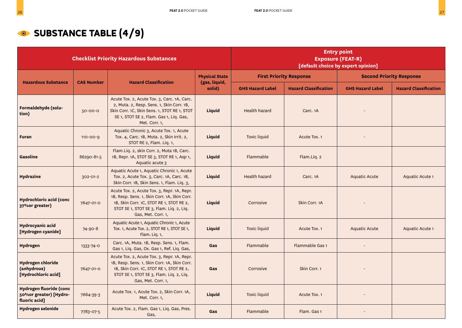### **SUBSTANCE TABLE (4/9)**

|                                                                            |                   | <b>Checklist Priority Hazardous Substances</b>                                                                                                                                                            |                         | <b>Entry point</b><br><b>Exposure (FEAT-R)</b><br>[default choice by expert opinion] |                                |                                 |                              |  |
|----------------------------------------------------------------------------|-------------------|-----------------------------------------------------------------------------------------------------------------------------------------------------------------------------------------------------------|-------------------------|--------------------------------------------------------------------------------------|--------------------------------|---------------------------------|------------------------------|--|
| <b>Hazardous Substance</b>                                                 |                   | <b>Hazard Classification</b>                                                                                                                                                                              | <b>Physical State</b>   |                                                                                      | <b>First Priority Response</b> | <b>Second Priority Response</b> |                              |  |
|                                                                            | <b>CAS Number</b> |                                                                                                                                                                                                           | (gas, liquid,<br>solid) | <b>GHS Hazard Label</b>                                                              | <b>Hazard Classification</b>   | <b>GHS Hazard Label</b>         | <b>Hazard Classification</b> |  |
| Formaldehyde (solu-<br>tion)                                               | $50 - 00 - 0$     | Acute Tox. 2, Acute Tox. 3, Carc. 1A, Carc.<br>2, Muta. 2, Resp. Sens. 1, Skin Corr. 1B,<br>Skin Corr. 1C, Skin Sens. 1, STOT RE 1, STOT<br>SE 1, STOT SE 2, Flam. Gas 1, Liq. Gas,<br>Met. Corr. 1,      | Liquid                  | Health hazard                                                                        | Carc. 1A                       |                                 |                              |  |
| <b>Furan</b>                                                               | $110 - 00 - 9$    | Aquatic Chronic 3, Acute Tox. 1, Acute<br>Tox. 4, Carc. 1B, Muta. 2, Skin Irrit. 2,<br>STOT RE 2, Flam. Liq. 1,                                                                                           | Liquid                  | <b>Toxic liquid</b>                                                                  | Acute Tox. 1                   |                                 |                              |  |
| <b>Gasoline</b>                                                            | 86290-81-5        | Flam.Liq. 2, skin Corr. 2, Muta 1B, Carc.<br>1B, Repr. 1A, STOT SE 3, STOT RE 1, Asp 1,<br>Aquatic acute 3                                                                                                | Liquid                  | Flammable                                                                            | Flam.Liq. 2                    |                                 |                              |  |
| <b>Hydrazine</b>                                                           | 302-01-2          | Aquatic Acute 1, Aquatic Chronic 1, Acute<br>Tox. 2, Acute Tox. 3, Carc. 1A, Carc. 1B,<br>Skin Corr. 1B, Skin Sens. 1, Flam. Liq. 3,                                                                      | Liquid                  | Health hazard                                                                        | Carc. 1A                       | Aquatic Acute                   | Aquatic Acute 1              |  |
| Hydrochloric acid (conc<br>37% or greater)                                 | 7647-01-0         | Acute Tox. 2, Acute Tox. 3, Repr. 1A, Repr.<br>1B, Resp. Sens. 1, Skin Corr. 1A, Skin Corr.<br>1B, Skin Corr. 1C, STOT RE 1, STOT RE 2,<br>STOT SE 1, STOT SE 3, Flam. Liq. 2, Liq.<br>Gas, Met. Corr. 1, | Liquid                  | Corrosive                                                                            | Skin Corr. 1A                  |                                 |                              |  |
| Hydrocyanic acid<br>[Hydrogen cyanide]                                     | $74 - 90 - 8$     | Aquatic Acute 1, Aquatic Chronic 1, Acute<br>Tox. 1, Acute Tox. 2, STOT RE 1, STOT SE 1,<br>Flam. Lig. 1,                                                                                                 | Liquid                  | <b>Toxic liquid</b>                                                                  | Acute Tox. 1                   | <b>Aquatic Acute</b>            | Aquatic Acute 1              |  |
| Hydrogen                                                                   | 1333-74-0         | Carc. 1A, Muta. 1B, Resp. Sens. 1, Flam.<br>Gas 1, Liq. Gas, Ox. Gas 1, Ref. Liq. Gas,                                                                                                                    | Gas                     | Flammable                                                                            | Flammable Gas 1                |                                 |                              |  |
| <b>Hydrogen chloride</b><br>(anhydrous)<br>[Hydrochloric acid]             | 7647-01-0         | Acute Tox. 2, Acute Tox. 3, Repr. 1A, Repr.<br>1B, Resp. Sens. 1, Skin Corr. 1A, Skin Corr.<br>1B, Skin Corr. 1C, STOT RE 1, STOT RE 2,<br>STOT SE 1, STOT SE 3, Flam. Liq. 2, Liq.<br>Gas, Met. Corr. 1, | Gas                     | Corrosive                                                                            | Skin Corr. 1                   |                                 |                              |  |
| <b>Hydrogen fluoride (conc</b><br>50% or greater) [Hydro-<br>fluoric acid] | 7664-39-3         | Acute Tox. 1, Acute Tox. 2, Skin Corr. 1A,<br>Met. Corr. 1,                                                                                                                                               | Liquid                  | <b>Toxic liquid</b>                                                                  | Acute Tox. 1                   |                                 |                              |  |
| <b>Hydrogen selenide</b>                                                   | 7783-07-5         | Acute Tox. 2, Flam. Gas 1, Liq. Gas, Pres.<br>Gas,                                                                                                                                                        | Gas                     | Flammable                                                                            | Flam. Gas 1                    |                                 |                              |  |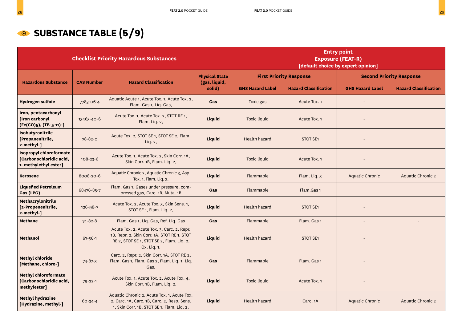### **SUBSTANCE TABLE (5/9)**

|                                                                                    |                   | <b>Checklist Priority Hazardous Substances</b>                                                                                                        |                         | <b>Entry point</b><br><b>Exposure (FEAT-R)</b><br>[default choice by expert opinion] |                                |                                 |                              |
|------------------------------------------------------------------------------------|-------------------|-------------------------------------------------------------------------------------------------------------------------------------------------------|-------------------------|--------------------------------------------------------------------------------------|--------------------------------|---------------------------------|------------------------------|
|                                                                                    |                   |                                                                                                                                                       | <b>Physical State</b>   |                                                                                      | <b>First Priority Response</b> | <b>Second Priority Response</b> |                              |
| <b>Hazardous Substance</b>                                                         | <b>CAS Number</b> | <b>Hazard Classification</b>                                                                                                                          | (gas, liquid,<br>solid) | <b>GHS Hazard Label</b>                                                              | <b>Hazard Classification</b>   | <b>GHS Hazard Label</b>         | <b>Hazard Classification</b> |
| Hydrogen sulfide                                                                   | 7783-06-4         | Aquatic Acute 1, Acute Tox. 1, Acute Tox. 2,<br>Flam. Gas 1, Liq. Gas,                                                                                | Gas                     | Toxic gas                                                                            | Acute Tox. 1                   | $\blacksquare$                  |                              |
| Iron, pentacarbonyl<br>[Iron carbonyl<br>(Fe(CO)5), (TB-5-11)-]                    | 13463-40-6        | Acute Tox. 1, Acute Tox. 2, STOT RE 1,<br>Flam. Liq. 2,                                                                                               | Liquid                  | <b>Toxic liquid</b>                                                                  | Acute Tox. 1                   |                                 |                              |
| Isobutyronitrile<br>[Propanenitrile,<br>2-methyl-]                                 | $78 - 82 - 0$     | Acute Tox. 2, STOT SE 1, STOT SE 2, Flam.<br>Liq. 2,                                                                                                  | Liquid                  | <b>Health hazard</b>                                                                 | STOT SE <sub>1</sub>           |                                 |                              |
| <b>Isopropyl chloroformate</b><br>[Carbonochloridic acid,<br>1- methylethyl ester] | $108 - 23 - 6$    | Acute Tox. 1, Acute Tox. 2, Skin Corr. 1A,<br>Skin Corr. 1B, Flam. Liq. 2,                                                                            | Liquid                  | <b>Toxic liquid</b>                                                                  | Acute Tox. 1                   |                                 |                              |
| <b>Kerosene</b>                                                                    | 8008-20-6         | Aquatic Chronic 2, Aquatic Chronic 3, Asp.<br>Tox. 1, Flam. Liq. 3,                                                                                   | <b>Liquid</b>           | Flammable                                                                            | Flam. Lig. 3                   | <b>Aquatic Chronic</b>          | <b>Aquatic Chronic 2</b>     |
| <b>Liquefied Petroleum</b><br>Gas (LPG)                                            | 68476-85-7        | Flam. Gas 1, Gases under pressure, com-<br>pressed gas, Carc. 1B, Muta. 1B                                                                            | Gas                     | Flammable                                                                            | Flam.Gas 1                     |                                 |                              |
| Methacrylonitrile<br>[2-Propenenitrile,<br>2-methyl-]                              | 126-98-7          | Acute Tox. 2, Acute Tox. 3, Skin Sens. 1,<br>STOT SE 1, Flam. Liq. 2,                                                                                 | Liquid                  | Health hazard                                                                        | STOT SE1                       |                                 |                              |
| <b>Methane</b>                                                                     | $74 - 82 - 8$     | Flam. Gas 1, Liq. Gas, Ref. Liq. Gas                                                                                                                  | Gas                     | Flammable                                                                            | Flam. Gas 1                    |                                 |                              |
| <b>Methanol</b>                                                                    | 67-56-1           | Acute Tox. 2, Acute Tox. 3, Carc. 2, Repr.<br>1B, Repr. 2, Skin Corr. 1A, STOT RE 1, STOT<br>RE 2, STOT SE 1, STOT SE 2, Flam. Liq. 2,<br>Ox. Lig. 1, | Liquid                  | <b>Health hazard</b>                                                                 | STOT SE <sub>1</sub>           |                                 |                              |
| <b>Methyl chloride</b><br>[Methane, chloro-]                                       | $74 - 87 - 3$     | Carc. 2, Repr. 2, Skin Corr. 1A, STOT RE 2,<br>Flam. Gas 1, Flam. Gas 2, Flam. Liq. 1, Liq.<br>Gas,                                                   | Gas                     | Flammable                                                                            | Flam. Gas 1                    |                                 |                              |
| <b>Methyl chloroformate</b><br>[Carbonochloridic acid,<br>methylester]             | $79 - 22 - 1$     | Acute Tox. 1, Acute Tox. 2, Acute Tox. 4,<br>Skin Corr. 1B, Flam. Liq. 2,                                                                             | Liquid                  | <b>Toxic liquid</b>                                                                  | Acute Tox. 1                   |                                 |                              |
| <b>Methyl hydrazine</b><br>[Hydrazine, methyl-]                                    | 60-34-4           | Aquatic Chronic 2, Acute Tox. 1, Acute Tox.<br>2, Carc. 1A, Carc. 1B, Carc. 2, Resp. Sens.<br>1, Skin Corr. 1B, STOT SE 1, Flam. Liq. 2,              | Liquid                  | <b>Health hazard</b>                                                                 | Carc. <sub>1</sub> A           | Aquatic Chronic                 | <b>Aquatic Chronic 2</b>     |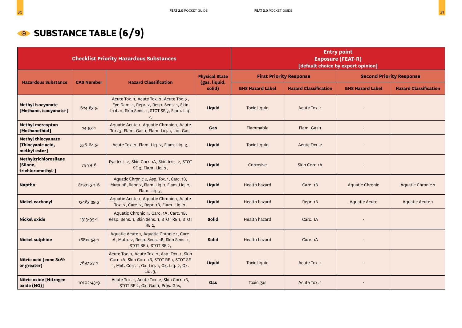### **SUBSTANCE TABLE (6/9)**

|                                                                 |                   | <b>Checklist Priority Hazardous Substances</b>                                                                                                          |                         | <b>Entry point</b><br><b>Exposure (FEAT-R)</b><br>[default choice by expert opinion] |                              |                                 |                              |
|-----------------------------------------------------------------|-------------------|---------------------------------------------------------------------------------------------------------------------------------------------------------|-------------------------|--------------------------------------------------------------------------------------|------------------------------|---------------------------------|------------------------------|
| <b>Hazardous Substance</b>                                      | <b>CAS Number</b> | <b>Hazard Classification</b>                                                                                                                            | <b>Physical State</b>   | <b>First Priority Response</b>                                                       |                              | <b>Second Priority Response</b> |                              |
|                                                                 |                   |                                                                                                                                                         | (gas, liquid,<br>solid) | <b>GHS Hazard Label</b>                                                              | <b>Hazard Classification</b> | <b>GHS Hazard Label</b>         | <b>Hazard Classification</b> |
| Methyl isocyanate<br>[Methane, isocyanato-]                     | 624-83-9          | Acute Tox. 1, Acute Tox. 2, Acute Tox. 3,<br>Eye Dam. 1, Repr. 2, Resp. Sens. 1, Skin<br>Irrit. 2, Skin Sens. 1, STOT SE 3, Flam. Liq.<br>2,            | Liquid                  | <b>Toxic liquid</b>                                                                  | Acute Tox. 1                 |                                 |                              |
| Methyl mercaptan<br>[Methanethiol]                              | $74 - 93 - 1$     | Aquatic Acute 1, Aquatic Chronic 1, Acute<br>Tox. 3, Flam. Gas 1, Flam. Liq. 1, Liq. Gas,                                                               | Gas                     | Flammable                                                                            | Flam. Gas 1                  |                                 |                              |
| <b>Methyl thiocyanate</b><br>[Thiocyanic acid,<br>methyl ester] | 556-64-9          | Acute Tox. 2, Flam. Liq. 2, Flam. Liq. 3,                                                                                                               | Liquid                  | Toxic liquid                                                                         | Acute Tox. 2                 |                                 |                              |
| Methyltrichlorosilane<br>[Silane,<br>trichloromethyl-]          | $75 - 79 - 6$     | Eye Irrit. 2, Skin Corr. 1A, Skin Irrit. 2, STOT<br>SE 3, Flam. Liq. 2,                                                                                 | Liquid                  | Corrosive                                                                            | Skin Corr. 1A                |                                 |                              |
| <b>Naptha</b>                                                   | 8030-30-6         | Aquatic Chronic 2, Asp. Tox. 1, Carc. 1B,<br>Muta. 1B, Repr. 2, Flam. Liq. 1, Flam. Liq. 2,<br>Flam. Liq. 3,                                            | Liquid                  | <b>Health hazard</b>                                                                 | Carc. 1B                     | <b>Aquatic Chronic</b>          | Aquatic Chronic 2            |
| Nickel carbonyl                                                 | 13463-39-3        | Aquatic Acute 1, Aquatic Chronic 1, Acute<br>Tox. 2, Carc. 2, Repr. 1B, Flam. Liq. 2,                                                                   | Liquid                  | <b>Health hazard</b>                                                                 | Repr. 1B                     | <b>Aquatic Acute</b>            | Aquatic Acute 1              |
| <b>Nickel oxide</b>                                             | 1313-99-1         | Aquatic Chronic 4, Carc. 1A, Carc. 1B,<br>Resp. Sens. 1, Skin Sens. 1, STOT RE 1, STOT<br>RE 2,                                                         | <b>Solid</b>            | <b>Health hazard</b>                                                                 | Carc. <sub>1</sub> A         |                                 |                              |
| <b>Nickel sulphide</b>                                          | 16812-54-7        | Aquatic Acute 1, Aquatic Chronic 1, Carc.<br>1A, Muta. 2, Resp. Sens. 1B, Skin Sens. 1,<br>STOT RE 1, STOT RE 2,                                        | <b>Solid</b>            | <b>Health hazard</b>                                                                 | Carc. 1A                     |                                 |                              |
| Nitric acid (conc 80%<br>or greater)                            | 7697-37-2         | Acute Tox. 1, Acute Tox. 2, Asp. Tox. 1, Skin<br>Corr. 1A, Skin Corr. 1B, STOT RE 1, STOT SE<br>1, Met. Corr. 1, Ox. Liq. 1, Ox. Liq. 2, Ox.<br>Liq. 3, | <b>Liquid</b>           | <b>Toxic liquid</b>                                                                  | Acute Tox. 1                 |                                 |                              |
| <b>Nitric oxide [Nitrogen</b><br>oxide (NO)]                    | 10102-43-9        | Acute Tox. 1, Acute Tox. 2, Skin Corr. 1B,<br>STOT RE 2, Ox. Gas 1, Pres. Gas,                                                                          | Gas                     | Toxic gas                                                                            | Acute Tox. 1                 |                                 |                              |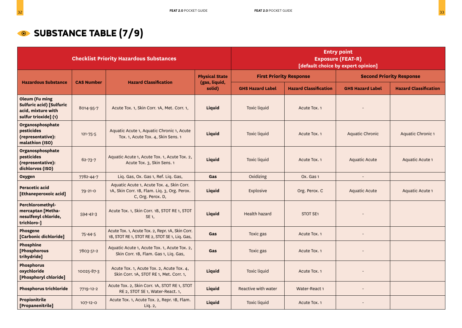### **SUBSTANCE TABLE (7/9)**

|                                                                                                        |                   | <b>Checklist Priority Hazardous Substances</b>                                                                 |                         | <b>Entry point</b><br><b>Exposure (FEAT-R)</b><br>[default choice by expert opinion] |                              |                         |                                 |  |
|--------------------------------------------------------------------------------------------------------|-------------------|----------------------------------------------------------------------------------------------------------------|-------------------------|--------------------------------------------------------------------------------------|------------------------------|-------------------------|---------------------------------|--|
|                                                                                                        |                   |                                                                                                                | <b>Physical State</b>   | <b>First Priority Response</b>                                                       |                              |                         | <b>Second Priority Response</b> |  |
| <b>Hazardous Substance</b>                                                                             | <b>CAS Number</b> | <b>Hazard Classification</b>                                                                                   | (gas, liquid,<br>solid) | <b>GHS Hazard Label</b>                                                              | <b>Hazard Classification</b> | <b>GHS Hazard Label</b> | <b>Hazard Classification</b>    |  |
| <b>Oleum (Fu ming</b><br><b>Sulfuric acid) [Sulfuric</b><br>acid, mixture with<br>sulfur trioxide] (1) | 8014-95-7         | Acute Tox. 1, Skin Corr. 1A, Met. Corr. 1,                                                                     | Liquid                  | <b>Toxic liquid</b>                                                                  | Acute Tox. 1                 |                         |                                 |  |
| Organosphosphate<br>pesticides<br>(representative):<br>malathion (ISO)                                 | $121 - 75 - 5$    | Aquatic Acute 1, Aquatic Chronic 1, Acute<br>Tox. 1, Acute Tox. 4, Skin Sens. 1                                | <b>Liquid</b>           | <b>Toxic liquid</b>                                                                  | Acute Tox. 1                 | <b>Aquatic Chronic</b>  | Aquatic Chronic 1               |  |
| Organosphosphate<br>pesticides<br>(representative):<br>dichlorvos (ISO)                                | $62 - 73 - 7$     | Aquatic Acute 1, Acute Tox. 1, Acute Tox. 2,<br>Acute Tox. 3, Skin Sens. 1                                     | Liquid                  | <b>Toxic liquid</b>                                                                  | Acute Tox. 1                 | Aquatic Acute           | Aquatic Acute 1                 |  |
| <b>Oxygen</b>                                                                                          | 7782-44-7         | Liq. Gas, Ox. Gas 1, Ref. Liq. Gas,                                                                            | Gas                     | Oxidizing                                                                            | Ox. Gas 1                    |                         |                                 |  |
| Peracetic acid<br>[Ethaneperoxoic acid]                                                                | $79 - 21 - 0$     | Aquatic Acute 1, Acute Tox. 4, Skin Corr.<br>1A, Skin Corr. 1B, Flam. Liq. 3, Org. Perox.<br>C, Org. Perox. D, | Liquid                  | Explosive                                                                            | Org. Perox. C                | Aquatic Acute           | Aquatic Acute 1                 |  |
| Perchloromethyl-<br>mercaptan [Metha-<br>nesulfenyl chloride,<br>trichloro-]                           | $594 - 42 - 3$    | Acute Tox. 1, Skin Corr. 1B, STOT RE 1, STOT<br>SE 1,                                                          | <b>Liquid</b>           | <b>Health hazard</b>                                                                 | <b>STOT SE1</b>              |                         |                                 |  |
| <b>Phosgene</b><br>[Carbonic dichloride]                                                               | $75 - 44 - 5$     | Acute Tox. 1, Acute Tox. 2, Repr. 1A, Skin Corr.<br>1B, STOT RE 1, STOT RE 2, STOT SE 1, Liq. Gas,             | Gas                     | Toxic gas                                                                            | Acute Tox. 1                 |                         |                                 |  |
| <b>Phosphine</b><br>[Phosphorous<br>trihydride]                                                        | 7803-51-2         | Aquatic Acute 1, Acute Tox. 1, Acute Tox. 2,<br>Skin Corr. 1B, Flam. Gas 1, Liq. Gas,                          | Gas                     | Toxic gas                                                                            | Acute Tox. 1                 |                         |                                 |  |
| <b>Phosphorus</b><br>oxychloride<br>[Phosphoryl chloride]                                              | 10025-87-3        | Acute Tox. 1, Acute Tox. 2, Acute Tox. 4,<br>Skin Corr. 1A, STOT RE 1, Met. Corr. 1,                           | Liquid                  | <b>Toxic liquid</b>                                                                  | Acute Tox. 1                 |                         |                                 |  |
| <b>Phosphorus trichloride</b>                                                                          | 7719-12-2         | Acute Tox. 2, Skin Corr. 1A, STOT RE 1, STOT<br>RE 2, STOT SE 1, Water-React. 1,                               | <b>Liquid</b>           | Reactive with water                                                                  | Water-React 1                |                         |                                 |  |
| Propionitrile<br>[Propanenitrile]                                                                      | 107-12-0          | Acute Tox. 1, Acute Tox. 2, Repr. 1B, Flam.<br>Liq. 2,                                                         | Liquid                  | <b>Toxic liquid</b>                                                                  | Acute Tox. 1                 |                         |                                 |  |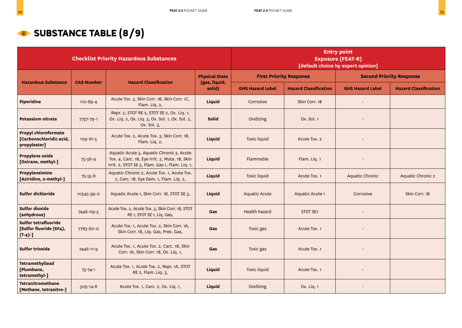## **SUBSTANCE TABLE (8/9)**

|                                                                        |                   | <b>Checklist Priority Hazardous Substances</b>                                                                                                 |                         |                         |                                | <b>Entry point</b><br><b>Exposure (FEAT-R)</b><br>[default choice by expert opinion] |                                 |
|------------------------------------------------------------------------|-------------------|------------------------------------------------------------------------------------------------------------------------------------------------|-------------------------|-------------------------|--------------------------------|--------------------------------------------------------------------------------------|---------------------------------|
|                                                                        |                   |                                                                                                                                                | <b>Physical State</b>   |                         | <b>First Priority Response</b> |                                                                                      | <b>Second Priority Response</b> |
| <b>Hazardous Substance</b>                                             | <b>CAS Number</b> | <b>Hazard Classification</b>                                                                                                                   | (gas, liquid,<br>solid) | <b>GHS Hazard Label</b> | <b>Hazard Classification</b>   | <b>GHS Hazard Label</b>                                                              | <b>Hazard Classification</b>    |
| Piperidine                                                             | $110 - 89 - 4$    | Acute Tox. 3, Skin Corr. 1B, Skin Corr. 1C,<br>Flam. Liq. 2,                                                                                   | Liquid                  | Corrosive               | Skin Corr. 1B                  |                                                                                      |                                 |
| Potassium nitrate                                                      | 7757-79-1         | Repr. 2, STOT RE 2, STOT SE 2, Ox. Liq. 1,<br>Ox. Liq. 2, Ox. Liq. 3, Ox. Sol. 1, Ox. Sol. 2,<br>Ox. Sol. 3,                                   | <b>Solid</b>            | Oxidizing               | Ox. Sol. 1                     |                                                                                      |                                 |
| <b>Propyl chloroformate</b><br>[Carbonochloridic acid,<br>propylester] | $109 - 61 - 5$    | Acute Tox. 2, Acute Tox. 3, Skin Corr. 1B,<br>Flam. Liq. 2,                                                                                    | Liquid                  | <b>Toxic liquid</b>     | Acute Tox. 2                   |                                                                                      |                                 |
| Propylene oxide<br>[Oxirane, methyl-]                                  | $75 - 56 - 9$     | Aquatic Acute 3, Aquatic Chronic 3, Acute<br>Tox. 4, Carc. 1B, Eye Irrit. 2, Muta. 1B, Skin<br>Irrit. 2, STOT SE 3, Flam. Gas 1, Flam. Liq. 1, | Liquid                  | Flammable               | Flam. Liq. 1                   |                                                                                      |                                 |
| Propyleneimine<br>[Aziridine, 2-methyl-]                               | $75 - 55 - 8$     | Aquatic Chronic 2, Acute Tox. 1, Acute Tox.<br>2, Carc. 1B, Eye Dam. 1, Flam. Liq. 2,                                                          | Liquid                  | <b>Toxic liquid</b>     | Acute Tox. 1                   | Aquatic Chronic                                                                      | <b>Aquatic Chronic 2</b>        |
| Sulfur dichloride                                                      | 10545-99-0        | Aquatic Acute 1, Skin Corr. 1B, STOT SE 3,                                                                                                     | Liquid                  | <b>Aquatic Acute</b>    | Aquatic Acute 1                | Corrosive                                                                            | Skin Corr. 1B                   |
| <b>Sulfur dioxide</b><br>(anhydrous)                                   | 7446-09-5         | Acute Tox. 2, Acute Tox. 3, Skin Corr. 1B, STOT<br>RE 1, STOT SE 1, Liq. Gas,                                                                  | Gas                     | <b>Health hazard</b>    | STOT SE <sub>1</sub>           |                                                                                      |                                 |
| Sulfur tetrafluoride<br>[Sulfur fluoride (SF4),<br>$(T-4)$ -]          | 7783-60-0         | Acute Tox. 1, Acute Tox. 2, Skin Corr. 1A,<br>Skin Corr. 1B, Liq. Gas, Pres. Gas,                                                              | Gas                     | Toxic gas               | Acute Tox. 1                   |                                                                                      |                                 |
| <b>Sulfur trioxide</b>                                                 | 7446-11-9         | Acute Tox. 1, Acute Tox. 2, Carc. 1B, Skin<br>Corr. 1A, Skin Corr. 1B, Ox. Liq. 1,                                                             | Gas                     | Toxic gas               | Acute Tox. 1                   |                                                                                      |                                 |
| <b>Tetramethyllead</b><br>[Plumbane,<br>tetramethyl-]                  | $75 - 74 - 1$     | Acute Tox. 1, Acute Tox. 2, Repr. 1A, STOT<br>RE 2, Flam. Liq. 3,                                                                              | Liquid                  | <b>Toxic liquid</b>     | Acute Tox. 1                   |                                                                                      |                                 |
| <b>Tetranitromethane</b><br>[Methane, tetranitro-]                     | $509 - 14 - 8$    | Acute Tox. 1, Carc. 2, Ox. Liq. 1,                                                                                                             | Liquid                  | Oxidizing               | Ox. Liq. 1                     |                                                                                      |                                 |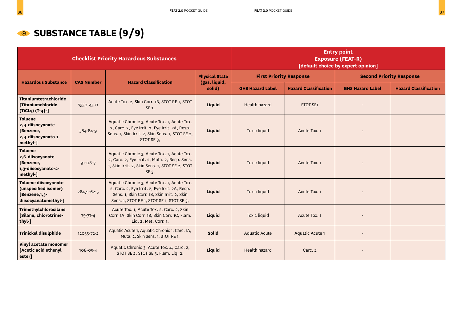### **SUBSTANCE TABLE (9/9)**

|                                                                                       |                   | <b>Checklist Priority Hazardous Substances</b>                                                                                                                                            |                         |                                |                              |                                 |                              |
|---------------------------------------------------------------------------------------|-------------------|-------------------------------------------------------------------------------------------------------------------------------------------------------------------------------------------|-------------------------|--------------------------------|------------------------------|---------------------------------|------------------------------|
|                                                                                       | <b>CAS Number</b> | <b>Hazard Classification</b>                                                                                                                                                              | <b>Physical State</b>   | <b>First Priority Response</b> |                              | <b>Second Priority Response</b> |                              |
| <b>Hazardous Substance</b>                                                            |                   |                                                                                                                                                                                           | (gas, liquid,<br>solid) | <b>GHS Hazard Label</b>        | <b>Hazard Classification</b> | <b>GHS Hazard Label</b>         | <b>Hazard Classification</b> |
| Titaniumtetrachloride<br>[Titaniumchloride<br>(TiCl4) (T-4)-]                         | 7550-45-0         | Acute Tox. 2, Skin Corr. 1B, STOT RE 1, STOT<br>SE 1,                                                                                                                                     | Liquid                  | Health hazard                  | STOT SE1                     |                                 |                              |
| <b>Toluene</b><br>2,4-diisocyanate<br>[Benzene,<br>2,4-diisocyanato-1-<br>methyl-]    | 584-84-9          | Aquatic Chronic 3, Acute Tox. 1, Acute Tox.<br>2, Carc. 2, Eye Irrit. 2, Eye Irrit. 2A, Resp.<br>Sens. 1, Skin Irrit. 2, Skin Sens. 1, STOT SE 2,<br>STOT SE 3,                           | Liquid                  | <b>Toxic liquid</b>            | Acute Tox. 1                 |                                 |                              |
| <b>Toluene</b><br>2,6-diisocyanate<br>[Benzene,<br>1,3-diisocyanato-2-<br>methyl-]    | $91 - 08 - 7$     | Aquatic Chronic 3, Acute Tox. 1, Acute Tox.<br>2, Carc. 2, Eye Irrit. 2, Muta. 2, Resp. Sens.<br>1, Skin Irrit. 2, Skin Sens. 1, STOT SE 2, STOT<br>SE 3,                                 | <b>Liquid</b>           | <b>Toxic liquid</b>            | Acute Tox. 1                 |                                 |                              |
| Toluene diisocyanate<br>(unspecified isomer)<br>[Benzene,1,3-<br>diisocyanatomethyl-] | 26471-62-5        | Aquatic Chronic 3, Acute Tox. 1, Acute Tox.<br>2, Carc. 2, Eye Irrit. 2, Eye Irrit. 2A, Resp.<br>Sens. 1, Skin Corr. 1B, Skin Irrit. 2, Skin<br>Sens. 1, STOT RE 1, STOT SE 1, STOT SE 3, | <b>Liquid</b>           | <b>Toxic liquid</b>            | Acute Tox. 1                 |                                 |                              |
| Trimethylchlorosilane<br>[Silane, chlorotrime-<br>thyl-]                              | $75 - 77 - 4$     | Acute Tox. 1, Acute Tox. 2, Carc. 2, Skin<br>Corr. 1A, Skin Corr. 1B, Skin Corr. 1C, Flam.<br>Liq. 2, Met. Corr. 1,                                                                       | <b>Liquid</b>           | <b>Toxic liquid</b>            | Acute Tox. 1                 |                                 |                              |
| <b>Trinickel disulphide</b>                                                           | 12035-72-2        | Aquatic Acute 1, Aquatic Chronic 1, Carc. 1A,<br>Muta. 2, Skin Sens. 1, STOT RE 1,                                                                                                        | <b>Solid</b>            | <b>Aquatic Acute</b>           | Aquatic Acute 1              |                                 |                              |
| Vinyl acetate monomer<br>[Acetic acid ethenyl<br>ester]                               | 108-05-4          | Aquatic Chronic 3, Acute Tox. 4, Carc. 2,<br>STOT SE 2, STOT SE 3, Flam. Liq. 2,                                                                                                          | <b>Liquid</b>           | <b>Health hazard</b>           | Carc. 2                      |                                 |                              |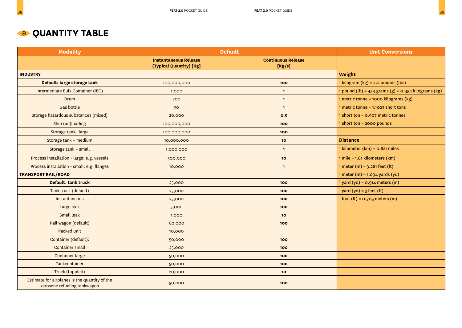| <b>Modality</b>                                                               |                                                         | <b>Default</b>                      | <b>Unit Conversions</b>                                 |
|-------------------------------------------------------------------------------|---------------------------------------------------------|-------------------------------------|---------------------------------------------------------|
|                                                                               | <b>Instantaneous Release</b><br>(Typical Quantity) [Kg] | <b>Continuous Release</b><br>[Kg/s] |                                                         |
| <b>INDUSTRY</b>                                                               |                                                         |                                     | Weight                                                  |
| Default: large storage tank                                                   | 100,000,000                                             | 100                                 | 1 kilogram (kg) = 2.2 pounds (lbs)                      |
| Intermediate Bulk Container (IBC)                                             | 1,000                                                   | $\mathbf{1}$                        | 1 pound (lb) = $454$ grams (g) = $0.454$ kilograms (kg) |
| Drum                                                                          | 200                                                     | $\overline{1}$                      | 1 metric tonne = 1000 kilograms (kg)                    |
| <b>Gas bottle</b>                                                             | 50                                                      | $\mathbf{1}$                        | 1 metric tonne = 1.1023 short tons                      |
| Storage hazardous substances (mixed)                                          | 20,000                                                  | 0,5                                 | 1 short ton = 0.907 metric tonnes                       |
| Ship (un)loading                                                              | 100,000,000                                             | 100                                 | 1 short ton = 2000 pounds                               |
| Storage tank-large                                                            | 100,000,000                                             | 100                                 |                                                         |
| Storage tank - medium                                                         | 10,000,000                                              | 10                                  | <b>Distance</b>                                         |
| Storage tank - small                                                          | 1,000,000                                               | $\mathbf{1}$                        | 1 kilometer (km) = 0.621 miles                          |
| Process installation - large: e.g. vessels                                    | 500,000                                                 | 10                                  | 1 mile = 1.61 kilometers (km)                           |
| Process installation - small: e.g. flanges                                    | 10,000                                                  | $\mathbf{1}$                        | $1$ meter (m) = 3.281 feet (ft)                         |
| <b>TRANSPORT RAIL/ROAD</b>                                                    |                                                         |                                     | $1$ meter (m) = $1.094$ yards (yd)                      |
| Default: tank truck                                                           | 25,000                                                  | 100                                 | 1 yard (yd) = $0.914$ meters (m)                        |
| Tank truck (default)                                                          | 25,000                                                  | 100                                 | $1$ yard (yd) = $3$ feet (ft)                           |
| Instantaneous                                                                 | 25,000                                                  | 100                                 | $1$ foot (ft) = 0.305 meters (m)                        |
| Large leak                                                                    | 5,000                                                   | 100                                 |                                                         |
| Small leak                                                                    | 1,000                                                   | 10                                  |                                                         |
| Rail wagon (default)                                                          | 60,000                                                  | 100                                 |                                                         |
| Packed unit                                                                   | 10,000                                                  |                                     |                                                         |
| Container (default):                                                          | 50,000                                                  | 100                                 |                                                         |
| <b>Container small</b>                                                        | 25,000                                                  | 100                                 |                                                         |
| <b>Container large</b>                                                        | 50,000                                                  | 100                                 |                                                         |
| Tankcontainer                                                                 | 50,000                                                  | 100                                 |                                                         |
| Truck (toppled)                                                               | 20,000                                                  | 10                                  |                                                         |
| Estimate for airplanes is the quantity of the<br>kerosene refueling tankwagon | 50,000                                                  | 100                                 |                                                         |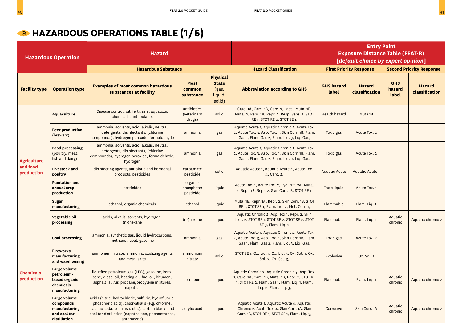|                                              | <b>Hazardous Operation</b>                                                 | <b>Hazard</b>                                                                                                                                                                                                                   |                                      |                                                               |                                                                                                                                                                                 |                            | <b>Entry Point</b><br><b>Exposure Distance Table (FEAT-R)</b><br>[default choice by expert opinion] |                               |                                 |
|----------------------------------------------|----------------------------------------------------------------------------|---------------------------------------------------------------------------------------------------------------------------------------------------------------------------------------------------------------------------------|--------------------------------------|---------------------------------------------------------------|---------------------------------------------------------------------------------------------------------------------------------------------------------------------------------|----------------------------|-----------------------------------------------------------------------------------------------------|-------------------------------|---------------------------------|
|                                              |                                                                            | <b>Hazardous Substance</b>                                                                                                                                                                                                      |                                      |                                                               | <b>Hazard Classification</b>                                                                                                                                                    |                            | <b>First Priority Response</b>                                                                      |                               | <b>Second Priority Response</b> |
| <b>Facility type</b>                         | <b>Operation type</b>                                                      | <b>Examples of most common hazardous</b><br>substances at facility                                                                                                                                                              | <b>Most</b><br>common<br>substance   | <b>Physical</b><br><b>State</b><br>(gas,<br>liquid,<br>solid) | <b>Abbreviation according to GHS</b>                                                                                                                                            | <b>GHS hazard</b><br>label | <b>Hazard</b><br>classification                                                                     | <b>GHS</b><br>hazard<br>label | <b>Hazard</b><br>classification |
|                                              | <b>Aquaculture</b>                                                         | Disease control, oil, fertilizers, aquatoxic<br>chemicals, antifoulants                                                                                                                                                         | antibiotics<br>(veterinary<br>drugs) | solid                                                         | Carc. 1A, Carc. 1B, Carc. 2, Lact., Muta. 1B,<br>Muta. 2, Repr. 1B, Repr. 2, Resp. Sens. 1, STOT<br>RE 1, STOT RE 2, STOT SE 1,                                                 | <b>Health hazard</b>       | Muta <sub>1</sub> B                                                                                 |                               |                                 |
|                                              | <b>Beer production</b><br>(brewery)                                        | ammonia, solvents, acid, alkalis, neutral<br>detergents, disinfectants, (chlorine<br>compounds), hydrogen peroxide, formaldehyde                                                                                                | ammonia                              | gas                                                           | Aquatic Acute 1, Aquatic Chronic 2, Acute Tox.<br>2, Acute Tox. 3, Asp. Tox. 1, Skin Corr. 1B, Flam.<br>Gas 1, Flam. Gas 2, Flam. Liq. 3, Liq. Gas,                             | Toxic gas                  | Acute Tox. 2                                                                                        |                               |                                 |
| <b>Agriculture</b><br>and food<br>production | <b>Food processing</b><br>(poultry, meat,<br>fish and dairy)               | ammonia, solvents, acid, alkalis, neutral<br>detergents, disinfectants, (chlorine<br>compounds), hydrogen peroxide, formaldehyde,<br>hydrogen                                                                                   | ammonia                              | gas                                                           | Aquatic Acute 1, Aquatic Chronic 2, Acute Tox.<br>2, Acute Tox. 3, Asp. Tox. 1, Skin Corr. 1B, Flam.<br>Gas 1, Flam. Gas 2, Flam. Liq. 3, Liq. Gas,                             | Toxic gas                  | Acute Tox. 2                                                                                        |                               |                                 |
|                                              | <b>Livestock and</b><br>poultry                                            | disinfecting agents, antibiotic and hormonal<br>products, pesticides                                                                                                                                                            | carbamate<br>pesticide               | solid                                                         | Aquatic Acute 1, Aquatic Acute 4, Acute Tox.<br>4, Carc. 2,                                                                                                                     | <b>Aquatic Acute</b>       | <b>Aquatic Acute 1</b>                                                                              |                               |                                 |
|                                              | <b>Plantation and</b><br>annual crop<br>production                         | pesticides                                                                                                                                                                                                                      | organo-<br>phosphate:<br>pesticide   | liquid                                                        | Acute Tox. 1, Acute Tox. 2, Eye Irrit. 2A, Muta.<br>2, Repr. 1B, Repr. 2, Skin Corr. 1B, STOT RE 1,                                                                             | <b>Toxic liquid</b>        | Acute Tox. 1                                                                                        |                               |                                 |
|                                              | <b>Sugar</b><br>manufacturing                                              | ethanol, organic chemicals                                                                                                                                                                                                      | ethanol                              | liquid                                                        | Muta. 1B, Repr. 1A, Repr. 2, Skin Corr. 1B, STOT<br>RE 1, STOT SE 1, Flam. Liq. 2, Met. Corr. 1,                                                                                | Flammable                  | Flam. Liq. 2                                                                                        |                               |                                 |
|                                              | Vegetable oil<br>processing                                                | acids, alkalis, solvents, hydrogen,<br>(n-)hexane                                                                                                                                                                               | $(n-)$ hexane                        | liquid                                                        | Aquatic Chronic 2, Asp. Tox.1, Repr. 2, Skin<br>Irrit. 2, STOT RE 1, STOT RE 2, STOT SE 2, STOT<br>SE 3, Flam. Lig. 2                                                           | Flammable                  | Flam. Liq. 2                                                                                        | Aquatic<br>chronic            | Aquatic chronic 2               |
|                                              | <b>Coal processing</b>                                                     | ammonia, synthetic gas, liquid hydrocarbons,<br>methanol, coal, gasoline                                                                                                                                                        | ammonia                              | gas                                                           | Aquatic Acute 1, Aquatic Chronic 2, Acute Tox.<br>2, Acute Tox. 3, Asp. Tox. 1, Skin Corr. 1B, Flam.<br>Gas 1, Flam. Gas 2, Flam. Liq. 3, Liq. Gas,                             | Toxic gas                  | Acute Tox. 2                                                                                        |                               |                                 |
|                                              | <b>Fireworks</b><br>manufacturing<br>and warehousing                       | ammonium nitrate, ammonia, oxidizing agents<br>and metal salts                                                                                                                                                                  | ammonium<br>nitrate                  | solid                                                         | STOT SE 1, Ox. Liq. 1, Ox. Liq. 3, Ox. Sol. 1, Ox.<br>Sol. 2, Ox. Sol. 3,                                                                                                       | Explosive                  | Ox. Sol. 1                                                                                          |                               |                                 |
| Chemicals<br>production                      | Large volume<br>petroleum-<br>based organic<br>chemicals<br>manufacturing  | liquefied petroleum gas (LPG), gasoline, kero-<br>sene, diesel oil, heating oil, fuel oil, bitumen,<br>asphalt, sulfur, propane/propylene mixtures,<br>naphtha                                                                  | petroleum                            | liquid                                                        | Aquatic Chronic 2, Aquatic Chronic 3, Asp. Tox.<br>1, Carc. 1A, Carc. 1B, Muta. 1B, Repr. 2, STOT RE<br>1, STOT RE 2, Flam. Gas 1, Flam. Liq. 1, Flam.<br>Liq. 2, Flam. Liq. 3, | Flammable                  | Flam. Lig. 1                                                                                        | Aquatic<br>chronic            | Aquatic chronic 2               |
|                                              | Large volume<br>compounds<br>manufacturing<br>and coal tar<br>distillation | acids (nitric, hydrochloric, sulfuric, hydrofluoric,<br>phosphoric acid), chlor-alkalis (e.g. chlorine,<br>caustic soda, soda ash, etc.), carbon black, and<br>coal tar distillation (naphthalene, phenanthrene,<br>anthracene) | acrylic acid                         | liquid                                                        | Aquatic Acute 1, Aquatic Acute 4, Aquatic<br>Chronic 2, Acute Tox. 4, Skin Corr. 1A, Skin<br>Corr. 1C, STOT RE 1, STOT SE 1, Flam. Liq. 3,                                      | Corrosive                  | Skin Corr. 1A                                                                                       | Aquatic<br>chronic            | Aquatic chronic 2               |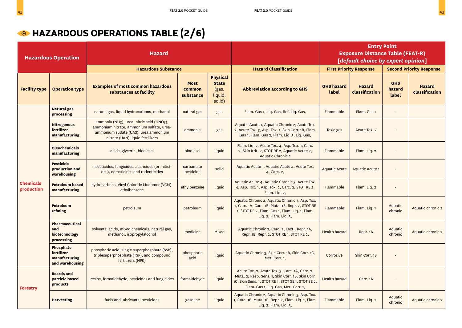### **MAZARDOUS OPERATIONS TABLE (2/6)**

|                                | <b>Hazardous Operation</b>                                  | <b>Hazard</b>                                                                                                                                                      |                                    |                                                               |                                                                                                                                                                                                   |                            | <b>Entry Point</b><br><b>Exposure Distance Table (FEAT-R)</b><br>[default choice by expert opinion] |                               |                                 |
|--------------------------------|-------------------------------------------------------------|--------------------------------------------------------------------------------------------------------------------------------------------------------------------|------------------------------------|---------------------------------------------------------------|---------------------------------------------------------------------------------------------------------------------------------------------------------------------------------------------------|----------------------------|-----------------------------------------------------------------------------------------------------|-------------------------------|---------------------------------|
|                                |                                                             | <b>Hazardous Substance</b>                                                                                                                                         |                                    |                                                               | <b>Hazard Classification</b>                                                                                                                                                                      |                            | <b>First Priority Response</b>                                                                      |                               | <b>Second Priority Response</b> |
| <b>Facility type</b>           | <b>Operation type</b>                                       | <b>Examples of most common hazardous</b><br>substances at facility                                                                                                 | <b>Most</b><br>common<br>substance | <b>Physical</b><br><b>State</b><br>(gas,<br>liquid,<br>solid) | <b>Abbreviation according to GHS</b>                                                                                                                                                              | <b>GHS hazard</b><br>label | <b>Hazard</b><br>classification                                                                     | <b>GHS</b><br>hazard<br>label | <b>Hazard</b><br>classification |
|                                | <b>Natural gas</b><br>processing                            | natural gas, liquid hydrocarbons, methanol                                                                                                                         | natural gas                        | gas                                                           | Flam. Gas 1, Liq. Gas, Ref. Liq. Gas,                                                                                                                                                             | Flammable                  | Flam. Gas 1                                                                                         |                               |                                 |
|                                | <b>Nitrogenous</b><br>fertilizer<br>manufacturing           | ammonia (NH3), urea, nitric acid (HNO3),<br>ammonium nitrate, ammonium sulfate, urea-<br>ammonium sulfate (UAS), urea ammonium<br>nitrate (UAN) liquid fertilizers | ammonia                            | gas                                                           | Aquatic Acute 1, Aquatic Chronic 2, Acute Tox.<br>2, Acute Tox. 3, Asp. Tox. 1, Skin Corr. 1B, Flam.<br>Gas 1, Flam. Gas 2, Flam. Liq. 3, Liq. Gas,                                               | Toxic gas                  | Acute Tox. 2                                                                                        |                               |                                 |
| <b>Chemicals</b><br>production | <b>Oleochemicals</b><br>manufacturing                       | acids, glycerin, biodiesel                                                                                                                                         | biodiesel                          | liquid                                                        | Flam. Liq. 2, Acute Tox. 4, Asp. Tox. 1, Carc.<br>2, Skin Irrit. 2, STOT RE 2, Aquatic Acute 2,<br><b>Aquatic Chronic 2</b>                                                                       | Flammable                  | Flam. Liq. 2                                                                                        |                               |                                 |
|                                | <b>Pesticide</b><br>production and<br>warehousing           | insecticides, fungicides, acaricides (or mitici-<br>des), nematicides and rodenticides                                                                             | carbamate<br>pesticide             | solid                                                         | Aquatic Acute 1, Aquatic Acute 4, Acute Tox.<br>4, Carc. 2,                                                                                                                                       | <b>Aquatic Acute</b>       | <b>Aquatic Acute 1</b>                                                                              |                               |                                 |
|                                | <b>Petroleum based</b><br>manufacturing                     | hydrocarbons, Vinyl Chloride Monomer (VCM)<br>ethylbenzene                                                                                                         | ethylbenzene                       | liquid                                                        | Aquatic Acute 4, Aquatic Chronic 3, Acute Tox.<br>4, Asp. Tox. 1, Asp. Tox. 2, Carc. 2, STOT RE 2,<br>Flam. Liq. 2,                                                                               | Flammable                  | Flam. Liq. 2                                                                                        |                               |                                 |
|                                | Petroleum<br>refining                                       | petroleum                                                                                                                                                          | petroleum                          | liquid                                                        | Aquatic Chronic 2, Aquatic Chronic 3, Asp. Tox.<br>1, Carc. 1A, Carc. 1B, Muta. 1B, Repr. 2, STOT RE<br>1, STOT RE 2, Flam. Gas 1, Flam. Lig. 1, Flam.<br>Liq. 2, Flam. Liq. 3,                   | Flammable                  | Flam. Liq. 1                                                                                        | Aquatic<br>chronic            | Aquatic chronic 2               |
|                                | Pharmaceutical<br>and<br>biotechnology<br>processing        | solvents, acids, mixed chemicals, natural gas,<br>methanol, isopropylalcohol                                                                                       | medicine                           | Mixed                                                         | Aquatic Chronic 2, Carc. 2, Lact., Repr. 1A,<br>Repr. 1B, Repr. 2, STOT RE 1, STOT RE 2,                                                                                                          | <b>Health hazard</b>       | Repr. 1A                                                                                            | Aquatic<br>chronic            | Aquatic chronic 2               |
|                                | Phosphate<br>fertilizer<br>manufacturing<br>and warehousing | phosphoric acid, single superphosphate (SSP),<br>triplesuperphosphate (TSP), and compound<br>fertilizers (NPK)                                                     | phosphoric<br>acid                 | liquid                                                        | Aquatic Chronic 3, Skin Corr. 1B, Skin Corr. 1C,<br>Met. Corr. 1.                                                                                                                                 | Corrosive                  | Skin Corr. 1B                                                                                       |                               |                                 |
| <b>Forestry</b>                | <b>Boards and</b><br>particle based<br>products             | resins, formaldehyde, pesticides and fungicides                                                                                                                    | formaldehyde                       | liquid                                                        | Acute Tox. 2, Acute Tox. 3, Carc. 1A, Carc. 2,<br>Muta. 2, Resp. Sens. 1, Skin Corr. 1B, Skin Corr.<br>1C, Skin Sens. 1, STOT RE 1, STOT SE 1, STOT SE 2,<br>Flam. Gas 1, Liq. Gas, Met. Corr. 1, | <b>Health hazard</b>       | Carc. <sub>1</sub> A                                                                                |                               |                                 |
|                                | <b>Harvesting</b>                                           | fuels and lubricants, pesticides                                                                                                                                   | gasoline                           | liquid                                                        | Aquatic Chronic 2, Aquatic Chronic 3, Asp. Tox.<br>1, Carc. 1B, Muta. 1B, Repr. 2, Flam. Liq. 1, Flam.<br>Liq. 2, Flam. Liq. 3,                                                                   | Flammable                  | Flam. Liq. 1                                                                                        | Aquatic<br>chronic            | Aquatic chronic 2               |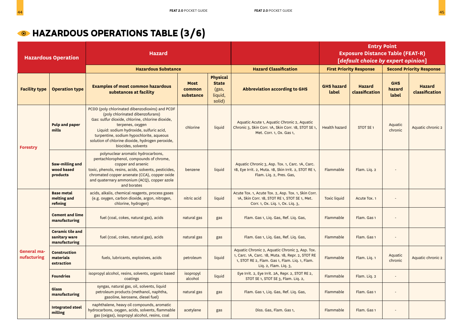### **G** HAZARDOUS OPERATIONS TABLE (3/6)

|                            | <b>Hazardous Operation</b>                                | <b>Hazard</b>                                                                                                                                                                                                                                                                                                                 |                                    |                                                               |                                                                                                                                                                                 |                            | <b>Entry Point</b><br><b>Exposure Distance Table (FEAT-R)</b><br>[default choice by expert opinion] |                               |                                 |
|----------------------------|-----------------------------------------------------------|-------------------------------------------------------------------------------------------------------------------------------------------------------------------------------------------------------------------------------------------------------------------------------------------------------------------------------|------------------------------------|---------------------------------------------------------------|---------------------------------------------------------------------------------------------------------------------------------------------------------------------------------|----------------------------|-----------------------------------------------------------------------------------------------------|-------------------------------|---------------------------------|
|                            |                                                           | <b>Hazardous Substance</b>                                                                                                                                                                                                                                                                                                    |                                    |                                                               | <b>Hazard Classification</b>                                                                                                                                                    |                            | <b>First Priority Response</b>                                                                      |                               | <b>Second Priority Response</b> |
| <b>Facility type</b>       | <b>Operation type</b>                                     | <b>Examples of most common hazardous</b><br>substances at facility                                                                                                                                                                                                                                                            | <b>Most</b><br>common<br>substance | <b>Physical</b><br><b>State</b><br>(gas,<br>liquid,<br>solid) | <b>Abbreviation according to GHS</b>                                                                                                                                            | <b>GHS hazard</b><br>label | <b>Hazard</b><br>classification                                                                     | <b>GHS</b><br>hazard<br>label | <b>Hazard</b><br>classification |
| <b>Forestry</b>            | Pulp and paper<br>mills                                   | PCDD (poly chlorinated dibenzodioxins) and PCDF<br>(poly chlorinated dibenzofurans)<br>Gas: sulfur dioxide, chlorine, chlorine dioxide,<br>terpenes, oxygen<br>Liquid: sodium hydroxide, sulfuric acid,<br>turpentine, sodium hypochlorite, aqueous<br>solution of chlorine dioxide, hydrogen peroxide,<br>biocides, solvents | chlorine                           | liquid                                                        | Aquatic Acute 1, Aquatic Chronic 2, Aquatic<br>Chronic 3, Skin Corr. 1A, Skin Corr. 1B, STOT SE 1,<br>Met. Corr. 1, Ox. Gas 1,                                                  | <b>Health hazard</b>       | STOT SE <sub>1</sub>                                                                                | Aquatic<br>chronic            | Aquatic chronic 2               |
|                            | Saw-milling and<br>wood based<br>products                 | polynuclear aromatic hydrocarbons,<br>pentachlorophenol, compounds of chrome,<br>copper and arsenic<br>toxic, phenols, resins, acids, solvents, pesticides,<br>chromated copper arsenate (CCA), copper oxide<br>and quaternary ammonium (ACQ), copper azole<br>and borates                                                    | benzene                            | liquid                                                        | Aquatic Chronic 3, Asp. Tox. 1, Carc. 1A, Carc.<br>1B, Eye Irrit. 2, Muta. 1B, Skin Irrit. 2, STOT RE 1,<br>Flam. Liq. 2, Pres. Gas,                                            | Flammable                  | Flam. Liq. 2                                                                                        |                               |                                 |
|                            | <b>Base metal</b><br>melting and<br>refining              | acids, alkalis, chemical reagents, process gases<br>(e.g. oxygen, carbon dioxide, argon, nitrogen,<br>chlorine, hydrogen)                                                                                                                                                                                                     | nitric acid                        | liquid                                                        | Acute Tox. 1, Acute Tox. 2, Asp. Tox. 1, Skin Corr.<br>1A, Skin Corr. 1B, STOT RE 1, STOT SE 1, Met.<br>Corr. 1, Ox. Lig. 1, Ox. Lig. 3,                                        | <b>Toxic liquid</b>        | Acute Tox. 1                                                                                        |                               |                                 |
|                            | <b>Cement and lime</b><br>manufacturing                   | fuel (coal, cokes, natural gas), acids                                                                                                                                                                                                                                                                                        | natural gas                        | gas                                                           | Flam. Gas 1, Liq. Gas, Ref. Liq. Gas,                                                                                                                                           | Flammable                  | Flam. Gas 1                                                                                         |                               |                                 |
|                            | <b>Ceramic tile and</b><br>sanitary ware<br>manufacturing | fuel (coal, cokes, natural gas), acids                                                                                                                                                                                                                                                                                        | natural gas                        | gas                                                           | Flam. Gas 1, Liq. Gas, Ref. Liq. Gas,                                                                                                                                           | Flammable                  | Flam. Gas 1                                                                                         |                               |                                 |
| General ma-<br>nufacturing | <b>Construction</b><br>materials<br>extraction            | fuels, lubricants, explosives, acids                                                                                                                                                                                                                                                                                          | petroleum                          | liquid                                                        | Aquatic Chronic 2, Aquatic Chronic 3, Asp. Tox.<br>1, Carc. 1A, Carc. 1B, Muta. 1B, Repr. 2, STOT RE<br>1, STOT RE 2, Flam. Gas 1, Flam. Liq. 1, Flam.<br>Lig. 2, Flam. Lig. 3, | Flammable                  | Flam. Liq. 1                                                                                        | Aquatic<br>chronic            | Aquatic chronic 2               |
|                            | <b>Foundries</b>                                          | isopropyl alcohol, resins, solvents, organic based<br>coatings                                                                                                                                                                                                                                                                | isopropyl<br>alcohol               | liquid                                                        | Eye Irrit. 2, Eye Irrit. 2A, Repr. 2, STOT RE 2,<br>STOT SE 1, STOT SE 3, Flam. Liq. 2,                                                                                         | Flammable                  | Flam. Liq. 2                                                                                        |                               |                                 |
|                            | Glass<br>manufacturing                                    | syngas, natural gas, oil, solvents, liquid<br>petroleum products (methanol, naphtha,<br>gasoline, kerosene, diesel fuel)                                                                                                                                                                                                      | natural gas                        | gas                                                           | Flam. Gas 1, Liq. Gas, Ref. Liq. Gas,                                                                                                                                           | Flammable                  | Flam. Gas 1                                                                                         |                               |                                 |
|                            | <b>Integrated steel</b><br>milling                        | naphthalene, heavy oil compounds, aromatic<br>hydrocarbons, oxygen, acids, solvents, flammable<br>gas (oxigas), isopropyl alcohol, resins, coal                                                                                                                                                                               | acetylene                          | gas                                                           | Diss. Gas, Flam. Gas 1,                                                                                                                                                         | Flammable                  | Flam. Gas 1                                                                                         |                               |                                 |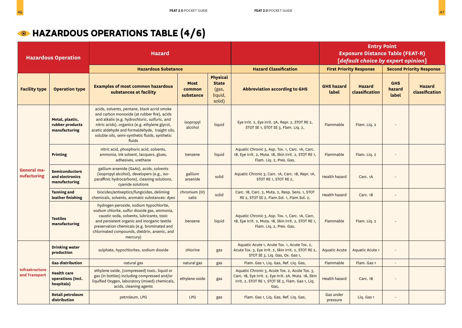### **MB** HAZARDOUS OPERATIONS TABLE (4/6)

|                                        | <b>Hazardous Operation</b>                                | <b>Hazard</b>                                                                                                                                                                                                                                                                                                |                                    |                                                               |                                                                                                                                                                      | <b>Entry Point</b><br><b>Exposure Distance Table (FEAT-R)</b><br>[default choice by expert opinion] |                                 |                               |                                 |
|----------------------------------------|-----------------------------------------------------------|--------------------------------------------------------------------------------------------------------------------------------------------------------------------------------------------------------------------------------------------------------------------------------------------------------------|------------------------------------|---------------------------------------------------------------|----------------------------------------------------------------------------------------------------------------------------------------------------------------------|-----------------------------------------------------------------------------------------------------|---------------------------------|-------------------------------|---------------------------------|
|                                        |                                                           | <b>Hazardous Substance</b>                                                                                                                                                                                                                                                                                   |                                    |                                                               | <b>Hazard Classification</b>                                                                                                                                         |                                                                                                     | <b>First Priority Response</b>  |                               | <b>Second Priority Response</b> |
| <b>Facility type</b>                   | <b>Operation type</b>                                     | <b>Examples of most common hazardous</b><br>substances at facility                                                                                                                                                                                                                                           | <b>Most</b><br>common<br>substance | <b>Physical</b><br><b>State</b><br>(gas,<br>liquid,<br>solid) | <b>Abbreviation according to GHS</b>                                                                                                                                 | <b>GHS hazard</b><br>label                                                                          | <b>Hazard</b><br>classification | <b>GHS</b><br>hazard<br>label | <b>Hazard</b><br>classification |
|                                        | Metal, plastic,<br>rubber products<br>manufacturing       | acids, solvents, pentane, black acrid smoke<br>and carbon monoxide (at rubber fire), acids<br>and alkalis (e.g. hydrochloric, sulfuric, and<br>nitric acids), organics (e.g. ethylene glycol,<br>acetic aldehyde and formaldehyde, traight oils,<br>soluble oils, semi-synthetic fluids, synthetic<br>fluids | isopropyl<br>alcohol               | liquid                                                        | Eye Irrit. 2, Eye Irrit. 2A, Repr. 2, STOT RE 2,<br>STOT SE 1, STOT SE 3, Flam. Liq. 2,                                                                              | Flammable                                                                                           | Flam. Liq. 2                    |                               |                                 |
| <b>General</b> ma-<br>nufacturing      | <b>Printing</b>                                           | nitric acid, phosphoric acid, solvents,<br>ammonia, ink solvent, lacquers, glues,<br>adhesives, urethane                                                                                                                                                                                                     | benzene                            | liquid                                                        | Aquatic Chronic 3, Asp. Tox. 1, Carc. 1A, Carc.<br>1B, Eye Irrit. 2, Muta. 1B, Skin Irrit. 2, STOT RE 1,<br>Flam. Liq. 2, Pres. Gas,                                 | Flammable                                                                                           | Flam. Lig. 2                    |                               |                                 |
|                                        | <b>Semiconductors</b><br>and electronics<br>manufacturing | gallium arsenide (GaAs), acids, solvents<br>(isopropyl alcohol), developers (e.g., iso-<br>paraffinic hydrocarbons), cleaning solutions,<br>cyanide solutions                                                                                                                                                | gallium<br>arsenide                | solid                                                         | Aquatic Chronic 3, Carc. 1A, Carc. 1B, Repr. 1A,<br>STOT RE 1, STOT RE 2,                                                                                            | <b>Health hazard</b>                                                                                | Carc. <sub>1</sub> A            |                               |                                 |
|                                        | <b>Tanning and</b><br>leather finishing                   | biocides/antiseptics/fungicides, deliming<br>chemicals, solvents, aromatic substances: dyes                                                                                                                                                                                                                  | chromium (III)<br>salts            | solid                                                         | Carc. 1B, Carc. 2, Muta. 2, Resp. Sens. 1, STOT<br>RE 2, STOT SE 2, Flam.Sol. 1, Flam.Sol. 2,                                                                        | <b>Health hazard</b>                                                                                | Carc. 1B                        | $\blacksquare$                |                                 |
|                                        | <b>Textiles</b><br>manufacturing                          | hydrogen peroxide, sodium hypochlorite,<br>sodium chlorite, sulfur dioxide gas, ammonia,<br>caustic soda, solvents, lubricants, toxic<br>and persistent organic and inorganic textile<br>preservation chemicals (e.g. brominated and<br>chlorinated compounds, dieldrin, arsenic, and<br>mercury)            | benzene                            | liquid                                                        | Aquatic Chronic 3, Asp. Tox. 1, Carc. 1A, Carc.<br>1B, Eye Irrit. 2, Muta. 1B, Skin Irrit. 2, STOT RE 1,<br>Flam. Lig. 2, Pres. Gas,                                 | Flammable                                                                                           | Flam. Liq. 2                    |                               |                                 |
|                                        | <b>Drinking water</b><br>production                       | sulphate, hypochlorites, sodium dioxide                                                                                                                                                                                                                                                                      | chlorine                           | gas                                                           | Aquatic Acute 1, Acute Tox. 1, Acute Tox. 2,<br>Acute Tox. 3, Eye Irrit. 2, Skin Irrit. 2, STOT RE 2,<br>STOT SE 3, Liq. Gas, Ox. Gas 1,                             | <b>Aquatic Acute</b>                                                                                | <b>Aquatic Acute 1</b>          | $\overline{\phantom{a}}$      |                                 |
|                                        | <b>Gas distribution</b>                                   | natural gas                                                                                                                                                                                                                                                                                                  | natural gas                        | gas                                                           | Flam. Gas 1, Liq. Gas, Ref. Liq. Gas,                                                                                                                                | Flammable                                                                                           | Flam. Gas 1                     | $\blacksquare$                |                                 |
| <b>Infrastructure</b><br>and Transport | <b>Health care</b><br>operations (incl.<br>hospitals)     | ethylene oxide, (compressed) toxic, liquid or<br>gas (in bottles) including compressed and/or<br>liquified Oxygen, laboratory (mixed) chemicals,<br>acids, cleaning agents                                                                                                                                   | ethylene oxide                     | gas                                                           | Aquatic Chronic 3, Acute Tox. 2, Acute Tox. 3,<br>Carc. 1B, Eye Irrit. 2, Eye Irrit. 2A, Muta. 1B, Skin<br>Irrit. 2, STOT RE 1, STOT SE 3, Flam. Gas 1, Liq.<br>Gas, | <b>Health hazard</b>                                                                                | Carc. 1B                        |                               |                                 |
|                                        | <b>Retail petroleum</b><br>distribution                   | petroleum, LPG                                                                                                                                                                                                                                                                                               | <b>LPG</b>                         | gas                                                           | Flam. Gas 1, Liq. Gas, Ref. Liq. Gas,                                                                                                                                | Gas under<br>pressure                                                                               | Liq. Gas 1                      |                               |                                 |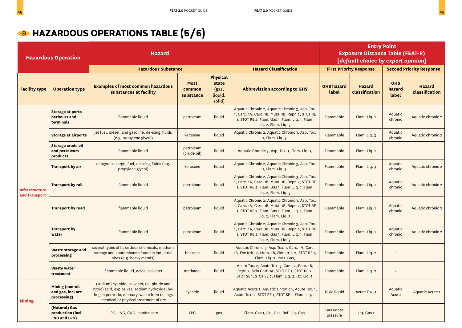### **MAZARDOUS OPERATIONS TABLE (5/6)**

|                                        | <b>Hazardous Operation</b>                                 | <b>Hazard</b>                                                                                                                                                                            |                                    |                                                               |                                                                                                                                                                                 | <b>Entry Point</b><br><b>Exposure Distance Table (FEAT-R)</b><br>[default choice by expert opinion] |                                 |                               |                                 |
|----------------------------------------|------------------------------------------------------------|------------------------------------------------------------------------------------------------------------------------------------------------------------------------------------------|------------------------------------|---------------------------------------------------------------|---------------------------------------------------------------------------------------------------------------------------------------------------------------------------------|-----------------------------------------------------------------------------------------------------|---------------------------------|-------------------------------|---------------------------------|
|                                        |                                                            | <b>Hazardous Substance</b>                                                                                                                                                               |                                    |                                                               | <b>Hazard Classification</b>                                                                                                                                                    |                                                                                                     | <b>First Priority Response</b>  |                               | <b>Second Priority Response</b> |
| <b>Facility type</b>                   | <b>Operation type</b>                                      | <b>Examples of most common hazardous</b><br>substances at facility                                                                                                                       | <b>Most</b><br>common<br>substance | <b>Physical</b><br><b>State</b><br>(gas,<br>liquid,<br>solid) | <b>Abbreviation according to GHS</b>                                                                                                                                            | <b>GHS hazard</b><br>label                                                                          | <b>Hazard</b><br>classification | <b>GHS</b><br>hazard<br>label | <b>Hazard</b><br>classification |
|                                        | <b>Storage at ports</b><br>harbours and<br>terminals       | flammable liquid                                                                                                                                                                         | petroleum                          | liquid                                                        | Aquatic Chronic 2, Aquatic Chronic 3, Asp. Tox.<br>1, Carc. 1A, Carc. 1B, Muta. 1B, Repr. 2, STOT RE<br>1, STOT RE 2, Flam. Gas 1, Flam. Lig. 1, Flam.<br>Liq. 2, Flam. Liq. 3, | Flammable                                                                                           | Flam. Liq. 1                    | Aquatic<br>chronic            | Aquatic chronic 2               |
|                                        | <b>Storage at airports</b>                                 | jet fuel, diesel, and gasoline, de-icing fluids<br>(e.g. propylene glycol)                                                                                                               | kerosene                           | liquid                                                        | Aquatic Chronic 2, Aquatic Chronic 3, Asp. Tox.<br>1, Flam. Liq. 3,                                                                                                             | Flammable                                                                                           | Flam. Liq. 3                    | Aquatic<br>chronic            | Aquatic chronic 2               |
|                                        | Storage crude oil<br>and petroleum<br>products             | flammable liquid                                                                                                                                                                         | petroleum<br>(crude oil)           | liquid                                                        | Aquatic Chronic 3, Asp. Tox. 1, Flam. Liq. 1,                                                                                                                                   | Flammable                                                                                           | Flam. Lig. 1                    |                               |                                 |
| <b>Infrastructure</b><br>and Transport | Transport by air                                           | dangerous cargo, fuel, de-icing fluids (e.g.<br>propylene glycol)                                                                                                                        | kerosene                           | liquid                                                        | Aquatic Chronic 2, Aquatic Chronic 3, Asp. Tox.<br>Flammable<br>1, Flam. Liq. 3,                                                                                                |                                                                                                     | Flam. Liq. 3                    | Aquatic<br>chronic            | Aquatic chronic 2               |
|                                        | <b>Transport by rail</b>                                   | flammable liquid                                                                                                                                                                         | petroleum                          | liquid                                                        | Aquatic Chronic 2, Aquatic Chronic 3, Asp. Tox.<br>1, Carc. 1A, Carc. 1B, Muta. 1B, Repr. 2, STOT RE<br>1, STOT RE 2, Flam. Gas 1, Flam. Lig. 1, Flam.<br>Liq. 2, Flam. Liq. 3, | Flammable                                                                                           | Flam. Liq. 1                    | Aquatic<br>chronic            | Aquatic chronic 2               |
|                                        | <b>Transport by road</b>                                   | flammable liquid                                                                                                                                                                         | petroleum                          | liquid                                                        | Aquatic Chronic 2, Aquatic Chronic 3, Asp. Tox.<br>1, Carc. 1A, Carc. 1B, Muta. 1B, Repr. 2, STOT RE<br>1, STOT RE 2, Flam. Gas 1, Flam. Liq. 1, Flam.<br>Liq. 2, Flam. Liq. 3, | Flammable                                                                                           | Flam. Lig. 1                    | Aquatic<br>chronic            | Aquatic chronic 2               |
|                                        | <b>Transport by</b><br>water                               | flammable liquid                                                                                                                                                                         | petroleum                          | liquid                                                        | Aquatic Chronic 2, Aquatic Chronic 3, Asp. Tox.<br>1, Carc. 1A, Carc. 1B, Muta. 1B, Repr. 2, STOT RE<br>1, STOT RE 2, Flam. Gas 1, Flam. Liq. 1, Flam.<br>Liq. 2, Flam. Liq. 3, | Flammable                                                                                           | Flam. Lig. 1                    | Aquatic<br>chronic            | Aquatic chronic 2               |
|                                        | <b>Waste storage and</b><br>processing                     | several types of hazardous chemicals, methane<br>storage and contaminants found in industrial<br>sites (e.g. heavy metals)                                                               | benzene                            | liquid                                                        | Aquatic Chronic 3, Asp. Tox. 1, Carc. 1A, Carc.<br>1B, Eye Irrit. 2, Muta. 1B, Skin Irrit. 2, STOT RE 1,<br>Flam. Lig. 2, Pres. Gas,                                            | Flammable                                                                                           | Flam. Lig. 2                    |                               |                                 |
|                                        | <b>Waste water</b><br>treatment                            | flammable liquid, acids, solvents                                                                                                                                                        | methanol                           | liquid                                                        | Acute Tox. 2, Acute Tox. 3, Carc. 2, Repr. 1B,<br>Repr. 2, Skin Corr. 1A, STOT RE 1, STOT RE 2,<br>STOT SE 1, STOT SE 2, Flam. Liq. 2, Ox. Liq. 1,                              | Flammable                                                                                           | Flam. Liq. 2                    | $\overline{a}$                |                                 |
| <b>Mining</b>                          | <b>Mining (non-oil</b><br>and gas, incl ore<br>processing) | (sodium) cyanide, solvents, (sulphuric and<br>nitric) acid, explosives, sodium hydroxide, hy-<br>drogen peroxide, mercury, waste from tailings,<br>chemical or physical treatment of ore | cyanide                            | liquid                                                        | Aquatic Acute 1, Aquatic Chronic 1, Acute Tox. 1,<br>Acute Tox. 2, STOT RE 1, STOT SE 1, Flam. Lig. 1,                                                                          | <b>Toxic liquid</b>                                                                                 | Acute Tox. 1                    | Aquatic<br>Acute              | Aquatic Acute 1                 |
|                                        | (Natural) Gas<br>production (incl<br>LNG and LPG)          | LPG, LNG, CNG, condensate                                                                                                                                                                | <b>LPG</b>                         | gas                                                           | Flam. Gas 1, Liq. Gas, Ref. Liq. Gas,                                                                                                                                           | Gas under<br>pressure                                                                               | Lig. Gas 1                      |                               |                                 |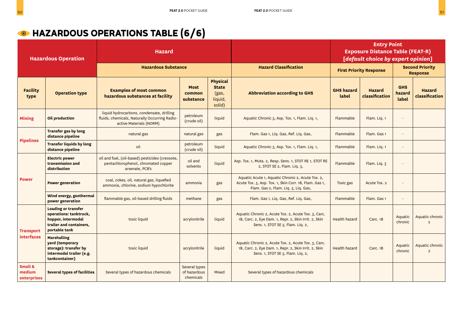### **MB** HAZARDOUS OPERATIONS TABLE (6/6)

| <b>Hazardous Operation</b>       |                                                                                                                        | <b>Hazard</b>                                                                                                         |                                            |                                                               |                                                                                                                                                     | <b>Entry Point</b><br><b>Exposure Distance Table (FEAT-R)</b><br>[default choice by expert opinion] |                                 |                                           |                                   |
|----------------------------------|------------------------------------------------------------------------------------------------------------------------|-----------------------------------------------------------------------------------------------------------------------|--------------------------------------------|---------------------------------------------------------------|-----------------------------------------------------------------------------------------------------------------------------------------------------|-----------------------------------------------------------------------------------------------------|---------------------------------|-------------------------------------------|-----------------------------------|
|                                  |                                                                                                                        | <b>Hazardous Substance</b>                                                                                            |                                            |                                                               | <b>Hazard Classification</b>                                                                                                                        | <b>First Priority Response</b>                                                                      |                                 | <b>Second Priority</b><br><b>Response</b> |                                   |
| <b>Facility</b><br>type          | <b>Operation type</b>                                                                                                  | <b>Examples of most common</b><br>hazardous substances at facility                                                    | <b>Most</b><br>common<br>substance         | <b>Physical</b><br><b>State</b><br>(gas,<br>liquid,<br>solid) | <b>Abbreviation according to GHS</b>                                                                                                                | <b>GHS hazard</b><br>label                                                                          | <b>Hazard</b><br>classification | <b>GHS</b><br>hazard<br>label             | <b>Hazard</b><br>classification   |
| <b>Mining</b>                    | <b>Oil production</b>                                                                                                  | liquid hydrocarbons, condensate, drilling<br>fluids, chemicals, Naturally Occurring Radio-<br>active Materials (NORM) | petroleum<br>(crude oil)                   | liquid                                                        | Aquatic Chronic 3, Asp. Tox. 1, Flam. Liq. 1,                                                                                                       | Flammable                                                                                           | Flam. Liq. 1                    | $\overline{\phantom{a}}$                  |                                   |
|                                  | <b>Transfer gas by long</b><br>distance pipeline                                                                       | natural gas                                                                                                           | natural gas                                | gas                                                           | Flam. Gas 1, Liq. Gas, Ref. Liq. Gas,                                                                                                               | Flammable                                                                                           | Flam. Gas 1                     | $\overline{\phantom{0}}$                  |                                   |
| <b>Pipelines</b>                 | <b>Transfer liquids by long</b><br>distance pipeline                                                                   | oil                                                                                                                   | petroleum<br>(crude oil)                   | liquid                                                        | Aquatic Chronic 3, Asp. Tox. 1, Flam. Liq. 1,                                                                                                       | Flammable                                                                                           | Flam. Lig. 1                    | $\blacksquare$                            |                                   |
|                                  | <b>Electric power</b><br>transmission and<br>distribution                                                              | oil and fuel, (oil-based) pesticides (creosote,<br>pentachlorophenol, chromated copper<br>arsenate, PCB's             | oil and<br>solvents                        | liquid                                                        | Asp. Tox. 1, Muta. 2, Resp. Sens. 1, STOT RE 1, STOT RE<br>2, STOT SE 2, Flam. Liq. 3,                                                              | Flammable                                                                                           | Flam. Liq. 3                    | $\blacksquare$                            |                                   |
| <b>Power</b>                     | <b>Power generation</b>                                                                                                | coal, cokes, oil, natural gas, liquefied<br>ammonia, chlorine, sodium hypochlorite                                    | ammonia                                    | gas                                                           | Aquatic Acute 1, Aquatic Chronic 2, Acute Tox. 2,<br>Acute Tox. 3, Asp. Tox. 1, Skin Corr. 1B, Flam. Gas 1,<br>Flam. Gas 2, Flam. Liq. 3, Liq. Gas, | Toxic gas                                                                                           | Acute Tox. 2                    | $\overline{a}$                            |                                   |
|                                  | Wind energy, geothermal<br>power generation                                                                            | flammable gas, oil-based drilling fluids                                                                              | methane                                    | gas                                                           | Flam. Gas 1, Liq. Gas, Ref. Liq. Gas,                                                                                                               | Flammable                                                                                           | Flam. Gas 1                     | $\overline{\phantom{a}}$                  |                                   |
| <b>Transport</b>                 | <b>Loading or transfer</b><br>operations: tanktruck,<br>hopper, intermodal<br>trailer and containers,<br>portable tank | toxic liquid                                                                                                          | acrylonitrile                              | liquid                                                        | Aquatic Chronic 2, Acute Tox. 2, Acute Tox. 3, Carc.<br>1B, Carc. 2, Eye Dam. 1, Repr. 2, Skin Irrit. 2, Skin<br>Sens. 1, STOT SE 3, Flam. Liq. 2,  | <b>Health hazard</b>                                                                                | Carc. 1B                        | Aquatic<br>chronic                        | Aquatic chronic<br>$\mathcal{L}$  |
| <b>interfaces</b>                | <b>Marshalling</b><br>yard (temporary<br>storage): transfer by<br>intermodal trailer (e.g.<br>tankcontainer)           | toxic liquid                                                                                                          | acrylonitrile                              | liquid                                                        | Aquatic Chronic 2, Acute Tox. 2, Acute Tox. 3, Carc.<br>1B, Carc. 2, Eye Dam. 1, Repr. 2, Skin Irrit. 2, Skin<br>Sens. 1, STOT SE 3, Flam. Liq. 2,  | <b>Health hazard</b>                                                                                | Carc. 1B                        | Aquatic<br>chronic                        | Aquatic chronic<br>$\overline{2}$ |
| Small &<br>medium<br>enterprises | <b>Several types of facilities</b>                                                                                     | Several types of hazardous chemicals                                                                                  | Several types<br>of hazardous<br>chemicals | Mixed                                                         | Several types of hazardous chemicals                                                                                                                |                                                                                                     |                                 |                                           |                                   |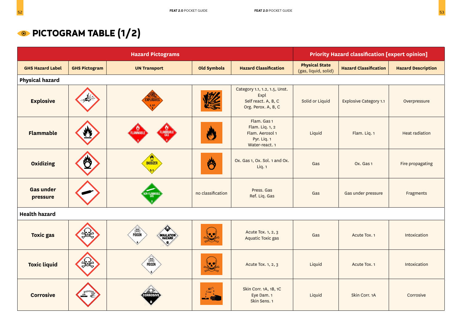|                              |                      | <b>Hazard Pictograms</b>               |                       |                                                                                     |                                               | <b>Priority Hazard classification [expert opinion]</b> |                           |
|------------------------------|----------------------|----------------------------------------|-----------------------|-------------------------------------------------------------------------------------|-----------------------------------------------|--------------------------------------------------------|---------------------------|
| <b>GHS Hazard Label</b>      | <b>GHS Pictogram</b> | <b>UN Transport</b>                    | <b>Old Symbols</b>    | <b>Hazard Classification</b>                                                        | <b>Physical State</b><br>(gas, liquid, solid) | <b>Hazard Classification</b>                           | <b>Hazard Description</b> |
| <b>Physical hazard</b>       |                      |                                        |                       |                                                                                     |                                               |                                                        |                           |
| <b>Explosive</b>             |                      | <b>XPLOSIVES</b>                       |                       | Category 1.1, 1.2, 1.5, Unst.<br>Expl<br>Self react. A, B, C<br>Org. Perox. A, B, C | Solid or Liquid                               | <b>Explosive Category 1.1</b>                          | Overpressure              |
| <b>Flammable</b>             |                      | <b>FLAMMABLE</b>                       |                       | Flam. Gas 1<br>Flam. Liq. 1, 2<br>Flam. Aerosol 1<br>Pyr. Liq. 1<br>Water-react. 1  | Liquid                                        | Flam. Liq. 1                                           | <b>Heat radiation</b>     |
| <b>Oxidizing</b>             |                      | <b>OXIDIZER</b>                        | 鬥                     | Ox. Gas 1, Ox. Sol. 1 and Ox.<br>Liq. 1                                             | Gas                                           | Ox. Gas 1                                              | Fire propagating          |
| <b>Gas under</b><br>pressure |                      | V-FLAMMABL<br>Gas                      | no classification     | Press, Gas<br>Ref. Liq. Gas                                                         | Gas                                           | Gas under pressure                                     | Fragments                 |
| <b>Health hazard</b>         |                      |                                        |                       |                                                                                     |                                               |                                                        |                           |
| <b>Toxic gas</b>             |                      | POISON<br><b>INHALATION<br/>HAZARD</b> | $\bullet$ . $\bullet$ | Acute Tox. 1, 2, 3<br>Aquatic Toxic gas                                             | Gas                                           | Acute Tox. 1                                           | Intoxication              |
| <b>Toxic liquid</b>          |                      | POISON                                 | $\bullet$             | Acute Tox. 1, 2, 3                                                                  | Liquid                                        | Acute Tox. 1                                           | Intoxication              |
| <b>Corrosive</b>             |                      |                                        |                       | Skin Corr. 1A, 1B, 1C<br>Eye Dam. 1<br>Skin Sens. 1                                 | Liquid                                        | Skin Corr. 1A                                          | Corrosive                 |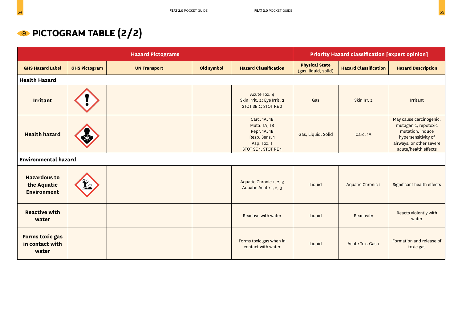## **PICTOGRAM TABLE (2/2)**

|                                                          |                      | <b>Hazard Pictograms</b> |            |                                                                                                      | <b>Priority Hazard classification [expert opinion]</b> |                              |                                                                                                                                                |  |
|----------------------------------------------------------|----------------------|--------------------------|------------|------------------------------------------------------------------------------------------------------|--------------------------------------------------------|------------------------------|------------------------------------------------------------------------------------------------------------------------------------------------|--|
| <b>GHS Hazard Label</b>                                  | <b>GHS Pictogram</b> | <b>UN Transport</b>      | Old symbol | <b>Hazard Classification</b>                                                                         | <b>Physical State</b><br>(gas, liquid, solid)          | <b>Hazard Classification</b> | <b>Hazard Description</b>                                                                                                                      |  |
| <b>Health Hazard</b>                                     |                      |                          |            |                                                                                                      |                                                        |                              |                                                                                                                                                |  |
| <b>Irritant</b>                                          |                      |                          |            | Acute Tox. 4<br>Skin Irrit. 2; Eye Irrit. 2<br>STOT SE 2; STOT RE 2                                  | Gas                                                    | Skin Irr. 2                  | Irritant                                                                                                                                       |  |
| <b>Health hazard</b>                                     |                      |                          |            | Carc. 1A, 1B<br>Muta. 1A, 1B<br>Repr. 1A, 1B<br>Resp. Sens. 1<br>Asp. Tox. 1<br>STOT SE 1, STOT RE 1 | Gas, Liquid, Solid                                     | Carc. 1A                     | May cause carcinogenic,<br>mutagenic, repotoxic<br>mutation, induce<br>hypersensitivity of<br>airways, or other severe<br>acute/health effects |  |
| <b>Environmental hazard</b>                              |                      |                          |            |                                                                                                      |                                                        |                              |                                                                                                                                                |  |
| <b>Hazardous to</b><br>the Aquatic<br><b>Environment</b> |                      |                          |            | Aquatic Chronic 1, 2, 3<br>Aquatic Acute 1, 2, 3                                                     | Liquid                                                 | Aquatic Chronic 1            | Significant health effects                                                                                                                     |  |
| <b>Reactive with</b><br>water                            |                      |                          |            | <b>Reactive with water</b>                                                                           | Liquid                                                 | Reactivity                   | Reacts violently with<br>water                                                                                                                 |  |
| Forms toxic gas<br>in contact with<br>water              |                      |                          |            | Forms toxic gas when in<br>contact with water                                                        | Liquid                                                 | Acute Tox. Gas 1             | Formation and release of<br>toxic gas                                                                                                          |  |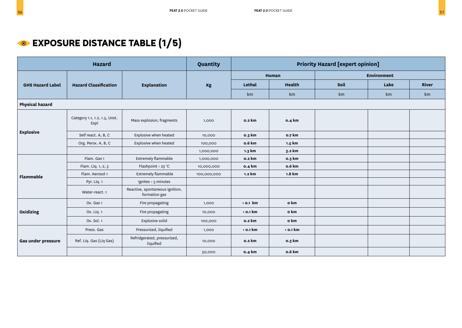|                         | <b>Hazard</b>                         |                                                  | Quantity    |                  | <b>Priority Hazard [expert opinion]</b> |                    |      |       |  |
|-------------------------|---------------------------------------|--------------------------------------------------|-------------|------------------|-----------------------------------------|--------------------|------|-------|--|
|                         |                                       |                                                  |             |                  | Human                                   | <b>Environment</b> |      |       |  |
| <b>GHS Hazard Label</b> | <b>Hazard Classification</b>          | Explanation                                      | Kg          | Lethal           | <b>Health</b>                           | Soil               | Lake | River |  |
|                         |                                       |                                                  |             | km               | km                                      | km                 | km   | km    |  |
| <b>Physical hazard</b>  |                                       |                                                  |             |                  |                                         |                    |      |       |  |
|                         | Category 1.1, 1.2, 1.5, Unst.<br>Expl | Mass explosion, fragments                        | 1,000       | 0.2 km           | 0.4 km                                  |                    |      |       |  |
| <b>Explosive</b>        | Self react. A, B, C                   | Explosive when heated                            | 10,000      | 0.3 km           | 0.7 km                                  |                    |      |       |  |
|                         | Org. Perox. A, B, C                   | Explosive when heated                            | 100,000     | o.6 km           | 1.5 km                                  |                    |      |       |  |
|                         |                                       |                                                  | 1,000,000   | 1.3 km           | 3.2 km                                  |                    |      |       |  |
|                         | Flam. Gas 1                           | <b>Extremely flammable</b>                       | 1,000,000   | 0.2 km           | 0.3 km                                  |                    |      |       |  |
|                         | Flam. Liq. 1, 2, 3                    | Flashpoint < 23 °C                               | 10,000,000  | 0.4 km           | o.6 km                                  |                    |      |       |  |
| <b>Flammable</b>        | Flam. Aerosol 1                       | Extremely flammable                              | 100,000,000 | 1.2 km           | 1.8 km                                  |                    |      |       |  |
|                         | Pyr. Liq. 1                           | Ignites $\leq$ 5 minutes                         |             |                  |                                         |                    |      |       |  |
|                         | Water-react. 1                        | Reactive, spontaneous ignition,<br>formation gas |             |                  |                                         |                    |      |       |  |
|                         | Ox. Gas 1                             | Fire propagating                                 | 1,000       | $\langle$ 0.1 km | o km                                    |                    |      |       |  |
| Oxidizing               | Ox. Lig. 1                            | Fire propagating                                 | 10,000      | $<$ 0.1 km       | o km                                    |                    |      |       |  |
|                         | Ox. Sol. 1                            | Explosive solid                                  | 100,000     | 0.2 km           | o km                                    |                    |      |       |  |
|                         | Press. Gas                            | Pressurized, liquified                           | 1,000       | $<$ 0.1 km       | $\langle$ 0.1 km                        |                    |      |       |  |
| Gas under pressure      | Ref. Liq. Gas (Liq Gas)               | Refridgerated, pressurized,<br>liquified         | 10,000      | 0.2 km           | 0.3 km                                  |                    |      |       |  |
|                         |                                       |                                                  | 50,000      | 0.4 km           | <b>o.6 km</b>                           |                    |      |       |  |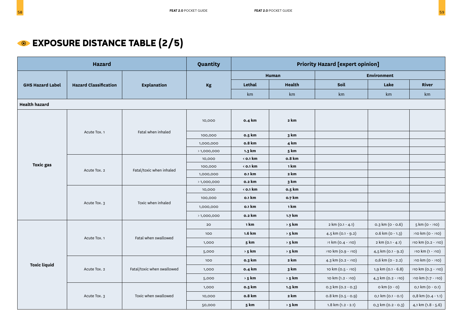### **EXPOSURE DISTANCE TABLE (2/5)**

| <b>Hazard</b>           |                              |                            | Quantity   | <b>Priority Hazard [expert opinion]</b> |               |                        |                        |                           |  |
|-------------------------|------------------------------|----------------------------|------------|-----------------------------------------|---------------|------------------------|------------------------|---------------------------|--|
|                         |                              |                            |            |                                         | Human         |                        | <b>Environment</b>     |                           |  |
| <b>GHS Hazard Label</b> | <b>Hazard Classification</b> | <b>Explanation</b>         | Kg         | Lethal                                  | Health        | Soil                   | Lake                   | River                     |  |
|                         |                              |                            |            | km                                      | km            | km                     | km                     | km                        |  |
| <b>Health hazard</b>    |                              |                            |            |                                         |               |                        |                        |                           |  |
|                         |                              |                            | 10,000     | 0.4 km                                  | 2 km          |                        |                        |                           |  |
|                         | Acute Tox. 1                 | Fatal when inhaled         | 100,000    | 0.5 km                                  | 3 km          |                        |                        |                           |  |
|                         |                              |                            | 1,000,000  | 0.8 km                                  | 4 km          |                        |                        |                           |  |
|                         |                              |                            | >1,000,000 | 1.3 km                                  | 5 km          |                        |                        |                           |  |
| <b>Toxic gas</b>        |                              |                            | 10,000     | $<$ 0.1 km                              | <b>o.8 km</b> |                        |                        |                           |  |
|                         | Acute Tox. 2                 | Fatal/toxic when inhaled   | 100,000    | $<$ 0.1 km                              | 1 km          |                        |                        |                           |  |
|                         |                              |                            | 1,000,000  | 0.1 km                                  | 2 km          |                        |                        |                           |  |
|                         |                              |                            | >1,000,000 | 0.2 km                                  | 3 km          |                        |                        |                           |  |
|                         | Acute Tox. 3                 | Toxic when inhaled         | 10,000     | $<$ 0.1 km                              | 0.5 km        |                        |                        |                           |  |
|                         |                              |                            | 100,000    | 0.1 km                                  | 0.7 km        |                        |                        |                           |  |
|                         |                              |                            | 1,000,000  | 0.1 km                                  | 1 km          |                        |                        |                           |  |
|                         |                              |                            | >1,000,000 | 0.2 km                                  | 1.7 km        |                        |                        |                           |  |
|                         |                              |                            | 20         | 1 km                                    | $> 5$ km      | 2 km (0.1 - 4.1)       | 0.3 km (0 - 0.6)       | $5 km (0 - 10)$           |  |
|                         |                              | Fatal when swallowed       | 100        | 1.6 km                                  | $> 5$ km      | 4.5 km (0.1 - 9.2)     | o.6 km (o - 1.3)       | >10 km (0 - >10)          |  |
|                         | Acute Tox. 1                 |                            | 1,000      | 5 km                                    | $> 5$ km      | $>1$ km (0.4 - $>10$ ) | 2 km (0.1 - 4.1)       | >10 km (0.2 - >10)        |  |
|                         |                              |                            | 5,000      | $> 5$ km                                | $> 5$ km      | >10 km (0.9 - >10)     | 4,5 km (0.1 - 9.2)     | $>10 \text{ km} (1 - 10)$ |  |
|                         |                              |                            | 100        | 0.3 km                                  | 2 km          | 4.3 km $(0.2 - 10)$    | $0,6$ km ( $0 - 2.2$ ) | >10 km (0 - >10)          |  |
| <b>Toxic liquid</b>     | Acute Tox. 2                 | Fatal/toxic when swallowed | 1,000      | 0.4 km                                  | 3 km          | 10 km (0.5 - >10)      | 1,9 km (0.1 - 6.8)     | >10 km (0.3 - >10)        |  |
|                         |                              |                            | 5,000      | $> 5$ km                                | $> 5$ km      | 10 km (1.2 - >10)      | 4,3 km $(0.2 - 10)$    | $>10$ km $(1.7 - 10)$     |  |
|                         |                              |                            | 1,000      | 0.5 km                                  | 1.5 km        | $0.3$ km $(0.2 - 0.3)$ | $o$ km $(o - o)$       | 0,1 km (0 - 0.1)          |  |
|                         | Acute Tox. 3                 | Toxic when swallowed       | 10,000     | 0.8 km                                  | 2 km          | 0.8 km (0.5 - 0.9)     | $0,1$ km $(0.1 - 0.1)$ | 0,8 km (0.4 - 1.1)        |  |
|                         |                              |                            | 50,000     | 5 km                                    | $> 5$ km      | $1.8$ km $(1.2 - 2.1)$ | $0,3$ km $(0.2 - 0.3)$ | 4,1 km (1.8 - 5.6)        |  |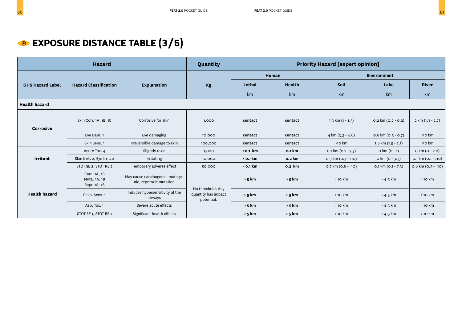| <b>Hazard</b>           |                                              |                                                            | Quantity                                               | <b>Priority Hazard [expert opinion]</b> |               |                              |                              |                       |
|-------------------------|----------------------------------------------|------------------------------------------------------------|--------------------------------------------------------|-----------------------------------------|---------------|------------------------------|------------------------------|-----------------------|
|                         |                                              |                                                            |                                                        | Human                                   |               | <b>Environment</b>           |                              |                       |
| <b>GHS Hazard Label</b> | <b>Hazard Classification</b>                 | <b>Explanation</b>                                         | Kg                                                     | Lethal                                  | <b>Health</b> | <b>Soil</b>                  | Lake                         | River                 |
|                         |                                              |                                                            |                                                        | km                                      | km            | km                           | km                           | km                    |
| <b>Health hazard</b>    |                                              |                                                            |                                                        |                                         |               |                              |                              |                       |
| <b>Corrosive</b>        | Skin Corr. 1A, 1B, 1C                        | Corrosive for skin                                         | 1,000                                                  | contact                                 | contact       | 1.3 km $(1 - 1.5)$           | $0.2$ km $(0.2 - 0.2)$       | 2 km (1.3 - 2.7)      |
|                         | Eye Dam. 1                                   | Eye damaging                                               | 10,000                                                 | contact                                 | contact       | $4 \text{ km } (3.3 - 4.6)$  | $0.6$ km $(0.5 - 0.7)$       | >10 km                |
|                         | Skin Sens. 1                                 | Irreversible damage to skin                                | 100,000                                                | contact                                 | contact       | $>10$ km                     | $1.8$ km $(1.5 - 2.1)$       | $>10$ km              |
|                         | Acute Tox. 4                                 | Slightly toxic                                             | 1,000                                                  | $\langle$ 0.1 km                        | 0.1 km        | $0.1 \text{ km} (0.1 - 7.3)$ | $0 \text{ km} (0 - 1)$       | $o$ km $(o - \ge 10)$ |
| <b>Irritant</b>         | Skin Irrit. 2; Eye Irrit. 2                  | Irritating                                                 | 10,000                                                 | $\le$ 0.1 km                            | 0.2 km        | $0.3$ km $(0.3 - 10)$        | $o$ km ( $o - 3.3$ )         | 0.1 km $(0.1 - 10)$   |
|                         | STOT SE 2; STOT RE 2                         | Temporary adverse effect                                   | 50,000                                                 | $<$ 0.1 km                              | 0.3 km        | 0.7 km $(0.6 - 10)$          | $0.1 \text{ km} (0.1 - 7.3)$ | 0.6 km $(0.5 - 10)$   |
|                         | Carc. 1A, 1B<br>Muta. 1A, 1B<br>Repr. 1A, 1B | May cause carcinogenic, mutage-<br>nic, repotoxic mutation |                                                        | $> 5$ km                                | $> 5$ km      | $>$ 10 km                    | $>$ 4.5 km                   | $>$ 10 km             |
| <b>Health hazard</b>    | Resp. Sens. 1                                | Induces hypersensitivity of the<br>airways                 | No threshold. Any<br>quantity has impact<br>potential. | $> 5$ km                                | $> 5$ km      | $>$ 10 km                    | $>$ 4.5 km                   | $>$ 10 km             |
|                         | Asp. Tox. 1                                  | Severe acute effects                                       |                                                        | $> 5$ km                                | $> 5$ km      | $>$ 10 km                    | $>$ 4.5 km                   | $>$ 10 km             |
|                         | STOT SE 1, STOT RE 1                         | Significant health effects                                 |                                                        | $> 5$ km                                | > 5 km        | $>$ 10 km                    | $>$ 4.5 km                   | $>$ 10 km             |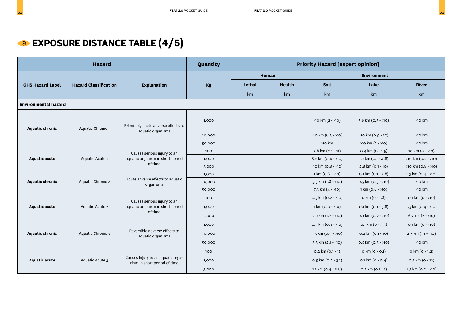## **EXPOSURE DISTANCE TABLE (4/5)**

| <b>Hazard</b>                               |                                                         |                                                                            | Quantity |                             | <b>Priority Hazard [expert opinion]</b> |                             |                              |                             |  |
|---------------------------------------------|---------------------------------------------------------|----------------------------------------------------------------------------|----------|-----------------------------|-----------------------------------------|-----------------------------|------------------------------|-----------------------------|--|
|                                             |                                                         |                                                                            |          | <b>Environment</b><br>Human |                                         |                             |                              |                             |  |
| <b>GHS Hazard Label</b>                     | <b>Hazard Classification</b>                            | <b>Explanation</b>                                                         | Kg       | Lethal                      | Health                                  | Soil                        | Lake                         | River                       |  |
|                                             |                                                         |                                                                            |          | km                          | km                                      | km                          | km                           | km                          |  |
| <b>Environmental hazard</b>                 |                                                         |                                                                            |          |                             |                                         |                             |                              |                             |  |
| <b>Aquatic chronic</b><br>Aquatic Chronic 1 | Extremely acute adverse effects to<br>aquatic organisms | 1,000                                                                      |          |                             | $>10$ km (2 - $>10$ )                   | $3.6 \text{ km} (0.3 - 10)$ | $>10$ km                     |                             |  |
|                                             |                                                         |                                                                            | 10,000   |                             |                                         | >10 km (6.3 - >10)          | >10 km (0.9 - 10)            | $>10$ km                    |  |
|                                             |                                                         |                                                                            | 50,000   |                             |                                         | >10 km                      | $>10$ km (2 - $>10$ )        | $>10$ km                    |  |
|                                             |                                                         | Causes serious injury to an<br>aquatic organism in short period<br>of time | 100      |                             |                                         | $2.8$ km (0.1 - 11)         | $0.4 \text{ km} (0 - 1.5)$   | 10 km (0 - >10)             |  |
| <b>Aquatic acute</b>                        | Aquatic Acute 1                                         |                                                                            | 1,000    |                             |                                         | 8.9 km $(0, 4 - 10)$        | $1.3 \text{ km} (0.1 - 4.8)$ | $>10 \text{ km} (0.2 - 10)$ |  |
|                                             |                                                         |                                                                            | 5,000    |                             |                                         | $>10$ km (0.8 - $>10$ )     | 2.8 km (0.1 - 10)            | >10 km (0.8 - >10)          |  |
|                                             |                                                         | Acute adverse effects to aquatic<br>organisms                              | 1,000    |                             |                                         | $1 \text{ km} (0.6 - 10)$   | $0.1 \text{ km} (0.1 - 5.8)$ | 1.3 km (0.4 - >10)          |  |
| <b>Aquatic chronic</b>                      | Aquatic Chronic 2                                       |                                                                            | 10,000   |                             |                                         | $3.3 \text{ km} (1.8 - 10)$ | $0.5$ km $(0.3 - 10)$        | $>10$ km                    |  |
|                                             |                                                         |                                                                            | 50,000   |                             |                                         | 7.3 km $(4 - 10)$           | $1 \text{ km} (0.6 - 10)$    | >10 km                      |  |
|                                             |                                                         | Causes serious injury to an                                                | 100      |                             |                                         | $0.3$ km $(0.2 - 10)$       | $0 \text{ km} (0 - 1.8)$     | $0.1 \text{ km} (0 - 10)$   |  |
| <b>Aquatic acute</b>                        | Aquatic Acute 2                                         | aquatic organism in short period                                           | 1,000    |                             |                                         | $1 \text{ km} (0.0 - 10)$   | 0.1 km $(0.1 - 5.8)$         | 1.3 km $(0.4 - 10)$         |  |
|                                             |                                                         | of time                                                                    | 5,000    |                             |                                         | $2.3$ km $(1.2 - 10)$       | $0.3$ km $(0.2 - 10)$        | 6.7 km $(2 - 10)$           |  |
|                                             |                                                         |                                                                            | 1,000    |                             |                                         | $0.5$ km $(0.3 - 10)$       | $0.1 \text{ km} (0 - 3.3)$   | 0.1 km ( $0 - 10$ )         |  |
| <b>Aquatic chronic</b>                      | Aquatic Chronic 3                                       | Reversible adverse effects to<br>aquatic organisms                         | 10,000   |                             |                                         | $1.5 \text{ km} (0.9 - 10)$ | $0.2$ km $(0.1 - 10)$        | 2.7 km (1.1 - >10)          |  |
|                                             |                                                         |                                                                            | 50,000   |                             |                                         | $3.3 \text{ km} (2.1 - 10)$ | $0.5$ km $(0.3 - 10)$        | $>10$ km                    |  |
|                                             |                                                         |                                                                            | 100      |                             |                                         | $0.2 \text{ km} (0.1 - 1)$  | o km (o - o.1)               | o km (o - 1.2)              |  |
| <b>Aquatic acute</b>                        | Aquatic Acute 3                                         | Causes injury to an aquatic orga-<br>nism in short period of time          | 1,000    |                             |                                         | $0.5$ km $(0.2 - 3.1)$      | 0.1 km (0 - 0.4)             | 0.3 km (0 - 12)             |  |
|                                             |                                                         |                                                                            | 5,000    |                             |                                         | 1.1 km $(0.4 - 6.8)$        | $0.2$ km $(0.1 - 1)$         | $1.5 \text{ km} (0.2 - 10)$ |  |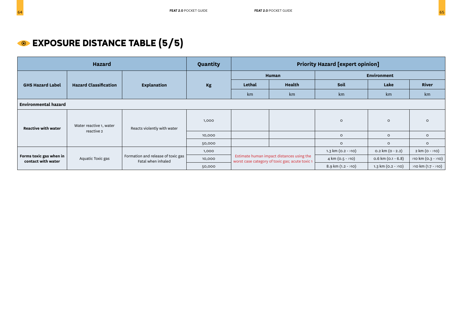| <b>Hazard</b>                                 |                              |                                                          | Quantity | <b>Priority Hazard [expert opinion]</b> |                                                                                              |                             |                            |                         |  |
|-----------------------------------------------|------------------------------|----------------------------------------------------------|----------|-----------------------------------------|----------------------------------------------------------------------------------------------|-----------------------------|----------------------------|-------------------------|--|
|                                               |                              |                                                          |          |                                         | <b>Human</b>                                                                                 |                             | <b>Environment</b>         |                         |  |
| <b>GHS Hazard Label</b>                       | <b>Hazard Classification</b> | Explanation                                              | Kg       | Lethal                                  | <b>Health</b>                                                                                | Soil                        | Lake                       | River                   |  |
|                                               |                              |                                                          |          | km                                      | km                                                                                           | km                          | km                         | km                      |  |
| <b>Environmental hazard</b>                   |                              |                                                          |          |                                         |                                                                                              |                             |                            |                         |  |
| <b>Reactive with water</b>                    | Water reactive 1, water      | Reacts violently with water                              | 1,000    |                                         |                                                                                              | $\circ$                     | $\circ$                    | $\circ$                 |  |
|                                               | reactive 2                   |                                                          | 10,000   |                                         |                                                                                              | $\circ$                     | $\circ$                    | $\circ$                 |  |
|                                               |                              |                                                          | 50,000   |                                         |                                                                                              | $\circ$                     | $\circ$                    | $\circ$                 |  |
|                                               |                              |                                                          | 1,000    |                                         |                                                                                              | 1.3 km $(0.2 - 10)$         | $0.2 \text{ km} (0 - 2.2)$ | 2 km (0 - >10)          |  |
| Forms toxic gas when in<br>contact with water | Aquatic Toxic gas            | Formation and release of toxic gas<br>Fatal when inhaled | 10,000   |                                         | Estimate human impact distances using the<br>worst case category of toxic gas; acute toxic 1 | 4 km (0.5 - >10)            | $0.6$ km (0.1 - 6.8)       | $>10$ km (0.3 - $>10$ ) |  |
|                                               |                              |                                                          | 50,000   |                                         |                                                                                              | $8.9 \text{ km} (1.2 - 10)$ | 1.3 km $(0.2 - 10)$        | $>10$ km $(1.7 - 10)$   |  |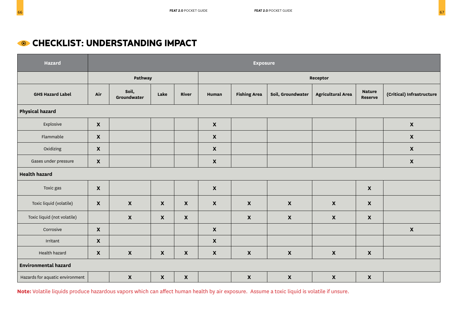### **CHECKLIST: UNDERSTANDING IMPACT**

| <b>Hazard</b>                   |                           | <b>Exposure</b>           |                           |                    |                    |                           |                           |                           |                                 |                           |
|---------------------------------|---------------------------|---------------------------|---------------------------|--------------------|--------------------|---------------------------|---------------------------|---------------------------|---------------------------------|---------------------------|
|                                 |                           | Pathway                   |                           |                    |                    |                           |                           | Receptor                  |                                 |                           |
| <b>GHS Hazard Label</b>         | Air                       | Soil,<br>Groundwater      | Lake                      | River              | Human              | <b>Fishing Area</b>       | Soil, Groundwater         | <b>Agricultural Area</b>  | <b>Nature</b><br><b>Reserve</b> | (Critical) Infrastructure |
| <b>Physical hazard</b>          |                           |                           |                           |                    |                    |                           |                           |                           |                                 |                           |
| Explosive                       | $\pmb{\mathsf{X}}$        |                           |                           |                    | $\pmb{\mathsf{X}}$ |                           |                           |                           |                                 | $\mathbf x$               |
| Flammable                       | $\pmb{\mathsf{X}}$        |                           |                           |                    | $\pmb{\mathsf{X}}$ |                           |                           |                           |                                 | $\pmb{\mathsf{X}}$        |
| Oxidizing                       | $\boldsymbol{\mathsf{X}}$ |                           |                           |                    | $\pmb{\mathsf{X}}$ |                           |                           |                           |                                 | $\mathbf x$               |
| Gases under pressure            | $\pmb{\mathsf{X}}$        |                           |                           |                    | $\pmb{\mathsf{X}}$ |                           |                           |                           |                                 | $\boldsymbol{\mathsf{X}}$ |
| <b>Health hazard</b>            |                           |                           |                           |                    |                    |                           |                           |                           |                                 |                           |
| Toxic gas                       | $\boldsymbol{\mathsf{X}}$ |                           |                           |                    | $\pmb{\mathsf{X}}$ |                           |                           |                           | $\boldsymbol{\mathsf{x}}$       |                           |
| Toxic liquid (volatile)         | $\boldsymbol{\mathsf{X}}$ | $\boldsymbol{\mathsf{X}}$ | $\pmb{\chi}$              | $\mathbf x$        | $\mathbf x$        | $\boldsymbol{\mathsf{X}}$ | $\pmb{\mathsf{X}}$        | $\boldsymbol{\mathsf{X}}$ | $\mathbf x$                     |                           |
| Toxic liquid (not volatile)     |                           | $\boldsymbol{\mathsf{X}}$ | $\boldsymbol{\mathsf{X}}$ | $\mathbf x$        |                    | $\boldsymbol{\mathsf{x}}$ | $\boldsymbol{\mathsf{x}}$ | $\boldsymbol{\mathsf{X}}$ | $\boldsymbol{\mathsf{x}}$       |                           |
| Corrosive                       | $\boldsymbol{\mathsf{X}}$ |                           |                           |                    | $\pmb{\mathsf{X}}$ |                           |                           |                           |                                 | $\boldsymbol{\mathsf{X}}$ |
| Irritant                        | $\pmb{\mathsf{X}}$        |                           |                           |                    | $\pmb{\mathsf{X}}$ |                           |                           |                           |                                 |                           |
| Health hazard                   | $\pmb{\mathsf{X}}$        | $\pmb{\mathsf{X}}$        | $\mathbf x$               | $\pmb{\mathsf{X}}$ | $\pmb{\mathsf{X}}$ | $\pmb{\chi}$              | $\pmb{\mathsf{X}}$        | $\mathbf x$               | $\boldsymbol{\mathsf{X}}$       |                           |
| <b>Environmental hazard</b>     |                           |                           |                           |                    |                    |                           |                           |                           |                                 |                           |
| Hazards for aquatic environment |                           | $\pmb{\mathsf{X}}$        | $\mathbf x$               | $\pmb{\mathsf{X}}$ |                    | $\mathbf x$               | $\pmb{\mathsf{X}}$        | $\mathbf x$               | $\boldsymbol{\mathsf{x}}$       |                           |

**Note:** Volatile liquids produce hazardous vapors which can affect human health by air exposure. Assume a toxic liquid is volatile if unsure.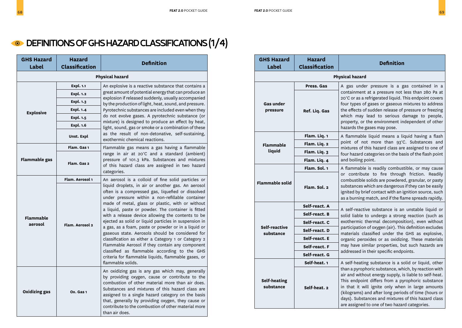### **ODEFINITIONS OF GHS HAZARD CLASSIFICATIONS (1/4)**

| <b>GHS Hazard</b><br><b>Label</b> | <b>Hazard</b><br><b>Classification</b> | <b>Definition</b>                                                                                                                                                                                                                                                                                                                                                                                                                                                                                                                                                                                                                                                                                                                    |  |  |  |
|-----------------------------------|----------------------------------------|--------------------------------------------------------------------------------------------------------------------------------------------------------------------------------------------------------------------------------------------------------------------------------------------------------------------------------------------------------------------------------------------------------------------------------------------------------------------------------------------------------------------------------------------------------------------------------------------------------------------------------------------------------------------------------------------------------------------------------------|--|--|--|
|                                   |                                        | <b>Physical hazard</b>                                                                                                                                                                                                                                                                                                                                                                                                                                                                                                                                                                                                                                                                                                               |  |  |  |
|                                   | <b>Expl. 1.1</b>                       | An explosive is a reactive substance that contains a                                                                                                                                                                                                                                                                                                                                                                                                                                                                                                                                                                                                                                                                                 |  |  |  |
|                                   | <b>Expl. 1.2</b>                       | great amount of potential energy that can produce an<br>explosion if released suddenly, usually accompanied                                                                                                                                                                                                                                                                                                                                                                                                                                                                                                                                                                                                                          |  |  |  |
|                                   | Expl. 1.3                              | by the production of light, heat, sound, and pressure.                                                                                                                                                                                                                                                                                                                                                                                                                                                                                                                                                                                                                                                                               |  |  |  |
| <b>Explosive</b>                  | Expl. $1.4$                            | Pyrotechnic substances are included even when they                                                                                                                                                                                                                                                                                                                                                                                                                                                                                                                                                                                                                                                                                   |  |  |  |
|                                   | Expl. 1.5                              | do not evolve gases. A pyrotechnic substance (or<br>mixture) is designed to produce an effect by heat,                                                                                                                                                                                                                                                                                                                                                                                                                                                                                                                                                                                                                               |  |  |  |
|                                   | Expl. 1.6                              | light, sound, gas or smoke or a combination of these                                                                                                                                                                                                                                                                                                                                                                                                                                                                                                                                                                                                                                                                                 |  |  |  |
|                                   | Unst. Expl                             | as the result of non-detonative, self-sustaining,<br>exothermic chemical reactions.                                                                                                                                                                                                                                                                                                                                                                                                                                                                                                                                                                                                                                                  |  |  |  |
|                                   | Flam. Gas 1                            | Flammable gas means a gas having a flammable                                                                                                                                                                                                                                                                                                                                                                                                                                                                                                                                                                                                                                                                                         |  |  |  |
| <b>Flammable gas</b>              | Flam. Gas 2                            | range in air at 20°C and a standard (ambient)<br>pressure of 101.3 kPa. Substances and mixtures<br>of this hazard class are assigned in two hazard<br>categories.                                                                                                                                                                                                                                                                                                                                                                                                                                                                                                                                                                    |  |  |  |
|                                   | Flam. Aerosol 1                        | An aerosol is a colloid of fine solid particles or                                                                                                                                                                                                                                                                                                                                                                                                                                                                                                                                                                                                                                                                                   |  |  |  |
| <b>Flammable</b><br>aerosol       | Flam. Aerosol 2                        | liquid droplets, in air or another gas. An aerosol<br>often is a compressed gas, liquefied or dissolved<br>under pressure within a non-refillable container<br>made of metal, glass or plastic, with or without<br>a liquid, paste or powder. The container is fitted<br>with a release device allowing the contents to be<br>ejected as solid or liquid particles in suspension in<br>a gas, as a foam, paste or powder or in a liquid or<br>gaseous state. Aerosols should be considered for<br>classification as either a Category 1 or Category 2<br>Flammable Aerosol if they contain any component<br>classified as flammable according to the GHS<br>criteria for flammable liquids, flammable gases, or<br>flammable solids. |  |  |  |
| <b>Oxidizing gas</b>              | Ox. Gas 1                              | An oxidizing gas is any gas which may, generally<br>by providing oxygen, cause or contribute to the<br>combustion of other material more than air does.<br>Substances and mixtures of this hazard class are<br>assigned to a single hazard category on the basis<br>that, generally by providing oxygen, they cause or<br>contribute to the combustion of other material more<br>than air does.                                                                                                                                                                                                                                                                                                                                      |  |  |  |

| <b>GHS Hazard</b><br><b>Label</b> | <b>Hazard</b><br><b>Classification</b> | <b>Definition</b>                                                                                                                                                                                                                                                                                                                                                                        |  |  |  |  |
|-----------------------------------|----------------------------------------|------------------------------------------------------------------------------------------------------------------------------------------------------------------------------------------------------------------------------------------------------------------------------------------------------------------------------------------------------------------------------------------|--|--|--|--|
|                                   |                                        | <b>Physical hazard</b>                                                                                                                                                                                                                                                                                                                                                                   |  |  |  |  |
|                                   | Press. Gas                             | A gas under pressure is a gas contained in a                                                                                                                                                                                                                                                                                                                                             |  |  |  |  |
| <b>Gas under</b><br>pressure      | Ref. Liq. Gas                          | containment at a pressure not less than 280 Pa at<br>20°C or as a refrigerated liquid. This endpoint covers<br>four types of gases or gaseous mixtures to address<br>the effects of sudden release of pressure or freezing<br>which may lead to serious damage to people,<br>property, or the environment independent of other<br>hazards the gases may pose.                            |  |  |  |  |
|                                   | Flam. Liq. 1                           | A flammable liquid means a liquid having a flash                                                                                                                                                                                                                                                                                                                                         |  |  |  |  |
| <b>Flammable</b>                  | Flam. Liq. 2                           | point of not more than 93°C. Substances and<br>mixtures of this hazard class are assigned to one of                                                                                                                                                                                                                                                                                      |  |  |  |  |
| liquid                            | Flam. Liq. 3                           | four hazard categories on the basis of the flash point                                                                                                                                                                                                                                                                                                                                   |  |  |  |  |
|                                   | Flam. Liq. 4                           | and boiling point.                                                                                                                                                                                                                                                                                                                                                                       |  |  |  |  |
|                                   | Flam. Sol. 1                           | A flammable is readily combustible, or may cause                                                                                                                                                                                                                                                                                                                                         |  |  |  |  |
| <b>Flammable solid</b>            | Flam. Sol. 2                           | or contribute to fire through friction. Readily<br>combustible solids are powdered, granular, or pasty<br>substances which are dangerous if they can be easily<br>ignited by brief contact with an ignition source, such<br>as a burning match, and if the flame spreads rapidly.                                                                                                        |  |  |  |  |
|                                   | Self-react. A                          | A self-reactive substance is an unstable liquid or                                                                                                                                                                                                                                                                                                                                       |  |  |  |  |
|                                   | Self-react. B                          | solid liable to undergo a strong reaction (such as                                                                                                                                                                                                                                                                                                                                       |  |  |  |  |
|                                   | Self-react. C                          | exothermic thermal decomposition), even without                                                                                                                                                                                                                                                                                                                                          |  |  |  |  |
| Self-reactive<br>substance        | Self-react. D                          | participation of oxygen (air). This definition excludes<br>materials classified under the GHS as explosive,                                                                                                                                                                                                                                                                              |  |  |  |  |
|                                   | Self-react. E                          | organic peroxides or as oxidizing. These materials                                                                                                                                                                                                                                                                                                                                       |  |  |  |  |
|                                   | Self-react. F                          | may have similar properties, but such hazards are<br>addressed in their specific endpoints.                                                                                                                                                                                                                                                                                              |  |  |  |  |
|                                   | Self-react. G                          |                                                                                                                                                                                                                                                                                                                                                                                          |  |  |  |  |
|                                   | Self-heat. 1                           | A self-heating substance is a solid or liquid, other                                                                                                                                                                                                                                                                                                                                     |  |  |  |  |
| <b>Self-heating</b><br>substance  | Self-heat. 2                           | than a pyrophoric substance, which, by reaction with<br>air and without energy supply, is liable to self-heat.<br>This endpoint differs from a pyrophoric substance<br>in that it will ignite only when in large amounts<br>(kilograms) and after long periods of time (hours or<br>days). Substances and mixtures of this hazard class<br>are assigned to one of two hazard categories. |  |  |  |  |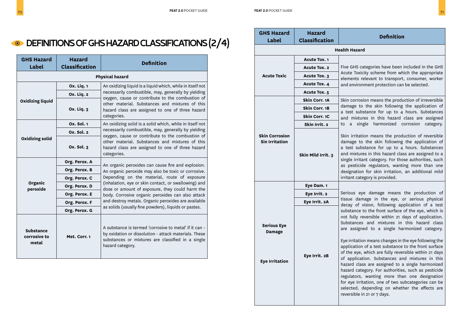| <b>GHS Hazard</b><br><b>Label</b>         | <b>Hazard</b><br><b>Classification</b> | <b>Definition</b>                                                                                                                                                                        |
|-------------------------------------------|----------------------------------------|------------------------------------------------------------------------------------------------------------------------------------------------------------------------------------------|
|                                           |                                        | <b>Physical hazard</b>                                                                                                                                                                   |
|                                           | <b>Ox. Liq. 1</b>                      | An oxidizing liquid is a liquid which, while in itself not                                                                                                                               |
|                                           | <b>Ox. Liq. 2</b>                      | necessarily combustible, may, generally by yielding<br>oxygen, cause or contribute to the combustion of                                                                                  |
| <b>Oxidizing liquid</b>                   | <b>Ox. Liq. 3</b>                      | other material. Substances and mixtures of this<br>hazard class are assigned to one of three hazard<br>categories.                                                                       |
|                                           | Ox. Sol. 1                             | An oxidizing solid is a solid which, while in itself not                                                                                                                                 |
| <b>Oxidizing solid</b>                    | Ox. Sol. 2                             | necessarily combustible, may, generally by yielding<br>oxygen, cause or contribute to the combustion of                                                                                  |
|                                           | Ox. Sol. 3                             | other material. Substances and mixtures of this<br>hazard class are assigned to one of three hazard<br>categories.                                                                       |
|                                           | Org. Perox. A                          | An organic peroxides can cause fire and explosion.                                                                                                                                       |
|                                           | Org. Perox. B                          | An organic peroxide may also be toxic or corrosive.                                                                                                                                      |
|                                           | Org. Perox. C                          | Depending on the material, route of exposure                                                                                                                                             |
| Organic<br>peroxide                       | Org. Perox. D                          | (inhalation, eye or skin contact, or swallowing) and<br>dose or amount of exposure, they could harm the                                                                                  |
|                                           | Org. Perox. E                          | body. Corrosive organic peroxides can also attack                                                                                                                                        |
|                                           | Org. Perox. F                          | and destroy metals. Organic peroxides are available<br>as solids (usually fine powders), liquids or pastes.                                                                              |
|                                           | Org. Perox. G                          |                                                                                                                                                                                          |
| <b>Substance</b><br>corrosive to<br>metal | Met. Corr. 1                           | A substance is termed 'corrosive to metal' if it can -<br>by oxidation or dissolution - attack materials. These<br>substances or mixtures are classified in a single<br>hazard category. |

| <b>GHS Hazard</b><br>Label                                   | <b>Hazard</b><br><b>Classification</b> | <b>Definition</b>                                                                                                                                                                                                                                                                                                                                                                                                                                                                                                                                                                                                                                                                                                                            |  |  |  |
|--------------------------------------------------------------|----------------------------------------|----------------------------------------------------------------------------------------------------------------------------------------------------------------------------------------------------------------------------------------------------------------------------------------------------------------------------------------------------------------------------------------------------------------------------------------------------------------------------------------------------------------------------------------------------------------------------------------------------------------------------------------------------------------------------------------------------------------------------------------------|--|--|--|
|                                                              |                                        | <b>Health Hazard</b>                                                                                                                                                                                                                                                                                                                                                                                                                                                                                                                                                                                                                                                                                                                         |  |  |  |
|                                                              | <b>Acute Tox. 1</b>                    |                                                                                                                                                                                                                                                                                                                                                                                                                                                                                                                                                                                                                                                                                                                                              |  |  |  |
|                                                              | <b>Acute Tox. 2</b>                    | Five GHS categories have been included in the GHS                                                                                                                                                                                                                                                                                                                                                                                                                                                                                                                                                                                                                                                                                            |  |  |  |
| <b>Acute Toxic</b>                                           | Acute Tox. 3                           | Acute Toxicity scheme from which the appropriate<br>elements relevant to transport, consumer, worker                                                                                                                                                                                                                                                                                                                                                                                                                                                                                                                                                                                                                                         |  |  |  |
|                                                              | Acute Tox. 4                           | and environment protection can be selected.                                                                                                                                                                                                                                                                                                                                                                                                                                                                                                                                                                                                                                                                                                  |  |  |  |
|                                                              | Acute Tox. 5                           |                                                                                                                                                                                                                                                                                                                                                                                                                                                                                                                                                                                                                                                                                                                                              |  |  |  |
|                                                              | Skin Corr. 1A                          | Skin corrosion means the production of irreversible                                                                                                                                                                                                                                                                                                                                                                                                                                                                                                                                                                                                                                                                                          |  |  |  |
|                                                              | Skin Corr. 1B                          | damage to the skin following the application of<br>a test substance for up to 4 hours. Substances                                                                                                                                                                                                                                                                                                                                                                                                                                                                                                                                                                                                                                            |  |  |  |
|                                                              | Skin Corr. 1C                          | and mixtures in this hazard class are assigned                                                                                                                                                                                                                                                                                                                                                                                                                                                                                                                                                                                                                                                                                               |  |  |  |
|                                                              | Skin Irrit. 2                          | single harmonized corrosion<br>category.<br>to a                                                                                                                                                                                                                                                                                                                                                                                                                                                                                                                                                                                                                                                                                             |  |  |  |
| <b>Skin Corrosion</b><br><b>Sin Irritation</b>               | Skin Mild Irrit. 3                     | Skin irritation means the production of reversible<br>damage to the skin following the application of<br>a test substance for up to 4 hours. Substances<br>and mixtures in this hazard class are assigned to a<br>single irritant category. For those authorities, such<br>as pesticide regulators, wanting more than one<br>designation for skin irritation, an additional mild<br>irritant category is provided.                                                                                                                                                                                                                                                                                                                           |  |  |  |
|                                                              | Eye Dam. 1                             |                                                                                                                                                                                                                                                                                                                                                                                                                                                                                                                                                                                                                                                                                                                                              |  |  |  |
|                                                              | Eye Irrit. 2                           | Serious eye damage means the production of                                                                                                                                                                                                                                                                                                                                                                                                                                                                                                                                                                                                                                                                                                   |  |  |  |
|                                                              | Eye Irrit. 2A                          | tissue damage in the eye, or serious physical<br>decay of vision, following application of a test                                                                                                                                                                                                                                                                                                                                                                                                                                                                                                                                                                                                                                            |  |  |  |
| <b>Serious Eye</b><br><b>Damage</b><br><b>Eye Irritation</b> | Eye Irrit. 2B                          | substance to the front surface of the eye, which is<br>not fully reversible within 21 days of application.<br>Substances and mixtures in this hazard class<br>are assigned to a single harmonized category.<br>Eye irritation means changes in the eye following the<br>application of a test substance to the front surface<br>of the eye, which are fully reversible within 21 days<br>of application. Substances and mixtures in this<br>hazard class are assigned to a single harmonized<br>hazard category. For authorities, such as pesticide<br>regulators, wanting more than one designation<br>for eye irritation, one of two subcategories can be<br>selected, depending on whether the effects are<br>reversible in 21 or 7 days. |  |  |  |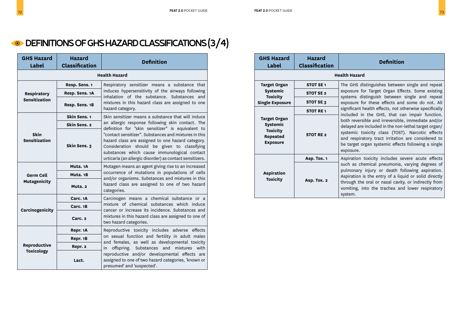### **ODEFINITIONS OF GHS HAZARD CLASSIFICATIONS (3/4)**

| <b>GHS Hazard</b><br>Label          | <b>Hazard</b><br><b>Classification</b> | <b>Definition</b>                                                                                                                                                                                                                                                      |  |  |  |  |  |
|-------------------------------------|----------------------------------------|------------------------------------------------------------------------------------------------------------------------------------------------------------------------------------------------------------------------------------------------------------------------|--|--|--|--|--|
|                                     |                                        | <b>Health Hazard</b>                                                                                                                                                                                                                                                   |  |  |  |  |  |
|                                     | Resp. Sens. 1                          | Respiratory sensitizer means a substance that                                                                                                                                                                                                                          |  |  |  |  |  |
| Respiratory                         | Resp. Sens. 1A                         | induces hypersensitivity of the airways following<br>inhalation of the substance. Substances and                                                                                                                                                                       |  |  |  |  |  |
| <b>Sensitization</b>                | Resp. Sens. 1B                         | mixtures in this hazard class are assigned to one<br>hazard category.                                                                                                                                                                                                  |  |  |  |  |  |
|                                     | Skin Sens. 1                           | Skin sensitizer means a substance that will induce                                                                                                                                                                                                                     |  |  |  |  |  |
|                                     | Skin Sens. 2                           | an allergic response following skin contact. The<br>definition for "skin sensitizer" is equivalent to                                                                                                                                                                  |  |  |  |  |  |
| <b>Skin</b><br><b>Sensitization</b> | Skin Sens. 3                           | "contact sensitizer". Substances and mixtures in this<br>hazard class are assigned to one hazard category.<br>Consideration should be given to classifying<br>substances which cause immunological contact<br>urticaria (an allergic disorder) as contact sensitizers. |  |  |  |  |  |
|                                     | Muta. 1A                               | Mutagen means an agent giving rise to an increased                                                                                                                                                                                                                     |  |  |  |  |  |
| <b>Germ Cell</b>                    | Muta. 1B                               | occurrence of mutations in populations of cells<br>and/or organisms. Substances and mixtures in this                                                                                                                                                                   |  |  |  |  |  |
| <b>Mutagenicity</b>                 | Muta. 2                                | hazard class are assigned to one of two hazard<br>categories.                                                                                                                                                                                                          |  |  |  |  |  |
|                                     | Carc. 1A                               | Carcinogen means a chemical substance or a                                                                                                                                                                                                                             |  |  |  |  |  |
| Carcinogenicity                     | Carc. 1B                               | mixture of chemical substances which induce<br>cancer or increase its incidence. Substances and                                                                                                                                                                        |  |  |  |  |  |
|                                     | Carc. <sub>2</sub>                     | mixtures in this hazard class are assigned to one of<br>two hazard categories.                                                                                                                                                                                         |  |  |  |  |  |
|                                     | Repr. 1A                               | Reproductive toxicity includes adverse effects                                                                                                                                                                                                                         |  |  |  |  |  |
|                                     | Repr. 1B                               | on sexual function and fertility in adult males<br>and females, as well as developmental toxicity                                                                                                                                                                      |  |  |  |  |  |
| Reproductive<br><b>Toxicology</b>   | Repr. 2                                | offspring. Substances and<br>mixtures with<br>in                                                                                                                                                                                                                       |  |  |  |  |  |
|                                     | Lact.                                  | reproductive and/or developmental effects are<br>assigned to one of two hazard categories, 'known or<br>presumed' and 'suspected'.                                                                                                                                     |  |  |  |  |  |

| <b>GHS Hazard</b><br>Label                                                        | <b>Hazard</b><br><b>Classification</b> | <b>Definition</b>                                                                                                                                                                                                                                                                        |
|-----------------------------------------------------------------------------------|----------------------------------------|------------------------------------------------------------------------------------------------------------------------------------------------------------------------------------------------------------------------------------------------------------------------------------------|
|                                                                                   |                                        | <b>Health Hazard</b>                                                                                                                                                                                                                                                                     |
| <b>Target Organ</b>                                                               | STOT SE <sub>1</sub>                   | The GHS distinguishes between single and repeat                                                                                                                                                                                                                                          |
| <b>Systemic</b><br>Toxicity                                                       | STOT SE <sub>2</sub>                   | exposure for Target Organ Effects. Some existing<br>systems distinguish between single and repeat                                                                                                                                                                                        |
| <b>Single Exposure</b>                                                            | STOT SE 3                              | exposure for these effects and some do not. All                                                                                                                                                                                                                                          |
|                                                                                   | <b>STOT RE1</b>                        | significant health effects, not otherwise specifically<br>included in the GHS, that can impair function,                                                                                                                                                                                 |
| <b>Target Organ</b><br><b>Systemic</b><br>Toxicity<br>Repeated<br><b>Exposure</b> | STOT RE <sub>2</sub>                   | both reversible and irreversible, immediate and/or<br>delayed are included in the non-lethal target organ/<br>systemic toxicity class (TOST). Narcotic effects<br>and respiratory tract irritation are considered to<br>be target organ systemic effects following a single<br>exposure. |
|                                                                                   | Asp. Tox. 1                            | Aspiration toxicity includes severe acute effects                                                                                                                                                                                                                                        |
| <b>Aspiration</b><br>Toxicity                                                     | Asp. Tox. 2                            | such as chemical pneumonia, varying degrees of<br>pulmonary injury or death following aspiration.<br>Aspiration is the entry of a liquid or solid directly<br>through the oral or nasal cavity, or indirectly from<br>vomiting, into the trachea and lower respiratory<br>system.        |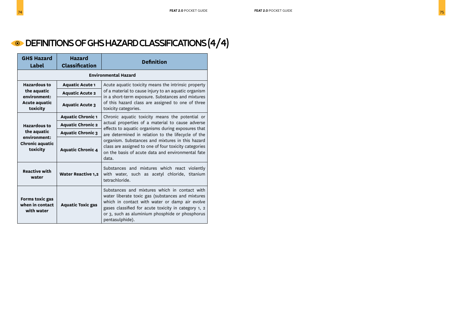### DEFINITIONS OF GHS HAZARD CLASSIFICATIONS (4/4)

| <b>GHS Hazard</b><br>Label                                                               | <b>Hazard</b><br><b>Classification</b> | <b>Definition</b>                                                                                                                                                                                                                                                                                                                                                                          |
|------------------------------------------------------------------------------------------|----------------------------------------|--------------------------------------------------------------------------------------------------------------------------------------------------------------------------------------------------------------------------------------------------------------------------------------------------------------------------------------------------------------------------------------------|
| <b>Environmental Hazard</b>                                                              |                                        |                                                                                                                                                                                                                                                                                                                                                                                            |
| <b>Hazardous to</b><br>the aquatic<br>environment:<br>Acute aquatic<br>toxicity          | <b>Aquatic Acute 1</b>                 | Acute aquatic toxicity means the intrinsic property<br>of a material to cause injury to an aquatic organism<br>in a short-term exposure. Substances and mixtures<br>of this hazard class are assigned to one of three<br>toxicity categories.                                                                                                                                              |
|                                                                                          | <b>Aquatic Acute 2</b>                 |                                                                                                                                                                                                                                                                                                                                                                                            |
|                                                                                          | <b>Aquatic Acute 3</b>                 |                                                                                                                                                                                                                                                                                                                                                                                            |
| <b>Hazardous to</b><br>the aquatic<br>environment:<br><b>Chronic aquatic</b><br>toxicity | <b>Aquatic Chronic 1</b>               | Chronic aquatic toxicity means the potential or<br>actual properties of a material to cause adverse<br>effects to aquatic organisms during exposures that<br>are determined in relation to the lifecycle of the<br>organism. Substances and mixtures in this hazard<br>class are assigned to one of four toxicity categories<br>on the basis of acute data and environmental fate<br>data. |
|                                                                                          | <b>Aquatic Chronic 2</b>               |                                                                                                                                                                                                                                                                                                                                                                                            |
|                                                                                          | <b>Aquatic Chronic 3</b>               |                                                                                                                                                                                                                                                                                                                                                                                            |
|                                                                                          | <b>Aquatic Chronic 4</b>               |                                                                                                                                                                                                                                                                                                                                                                                            |
| <b>Reactive with</b><br>water                                                            | <b>Water Reactive 1,2</b>              | Substances and mixtures which react violently<br>with water, such as acetyl chloride, titanium<br>tetrachloride.                                                                                                                                                                                                                                                                           |
| Forms toxic gas<br>when in contact<br>with water                                         | <b>Aquatic Toxic gas</b>               | Substances and mixtures which in contact with<br>water liberate toxic gas (substances and mixtures<br>which in contact with water or damp air evolve<br>gases classified for acute toxicity in category 1, 2<br>or 3, such as aluminium phosphide or phosphorus<br>pentasulphide).                                                                                                         |